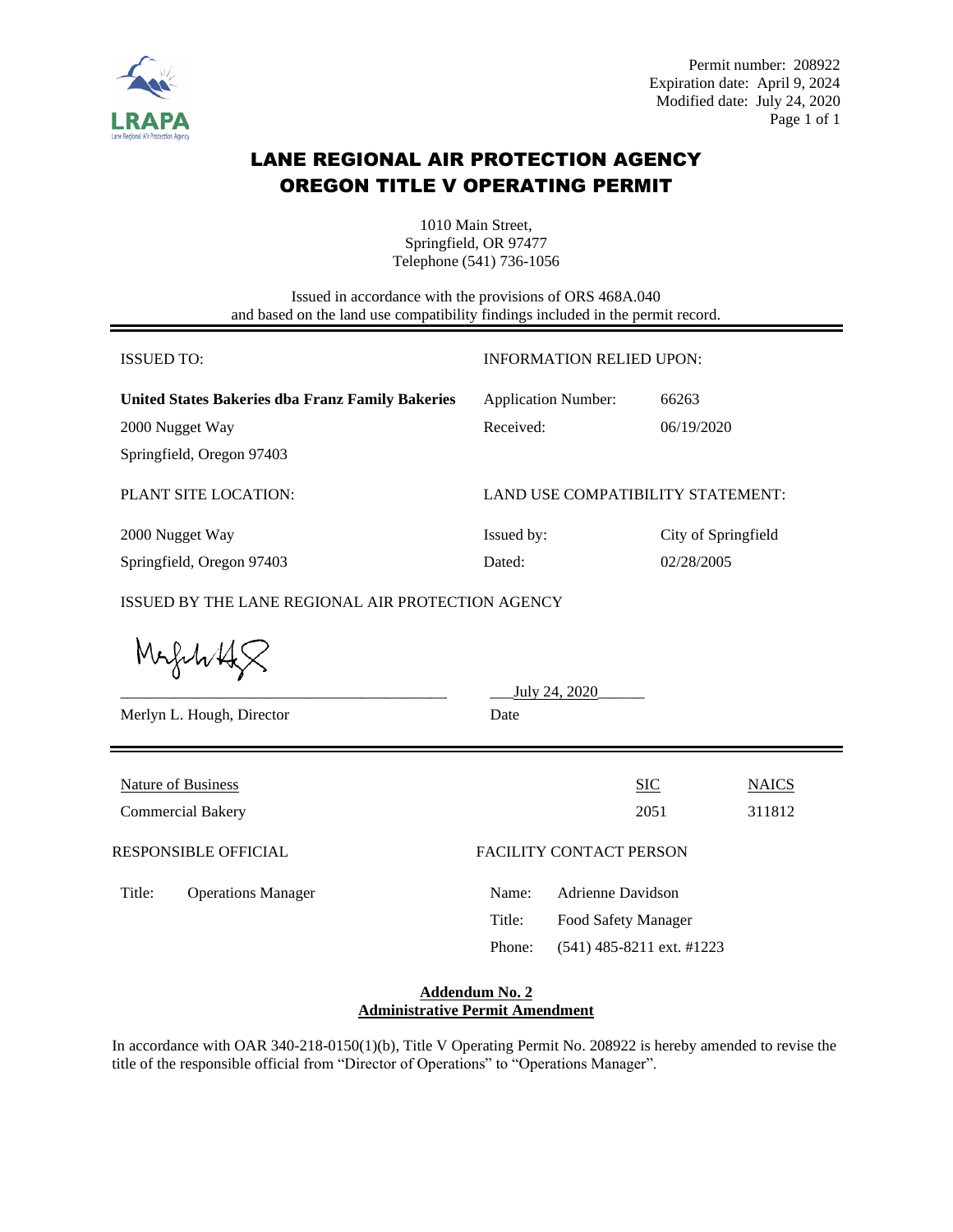

# LANE REGIONAL AIR PROTECTION AGENCY OREGON TITLE V OPERATING PERMIT

1010 Main Street, Springfield, OR 97477 Telephone (541) 736-1056

Issued in accordance with the provisions of ORS 468A.040 and based on the land use compatibility findings included in the permit record.

| <b>ISSUED TO:</b>                                             | <b>INFORMATION RELIED UPON:</b>   |                     |              |  |  |
|---------------------------------------------------------------|-----------------------------------|---------------------|--------------|--|--|
| <b>United States Bakeries dba Franz Family Bakeries</b>       | <b>Application Number:</b>        | 66263               |              |  |  |
| 2000 Nugget Way                                               | Received:                         | 06/19/2020          |              |  |  |
| Springfield, Oregon 97403                                     |                                   |                     |              |  |  |
| PLANT SITE LOCATION:                                          | LAND USE COMPATIBILITY STATEMENT: |                     |              |  |  |
| 2000 Nugget Way                                               | Issued by:                        | City of Springfield |              |  |  |
| Springfield, Oregon 97403                                     | Dated:                            | 02/28/2005          |              |  |  |
| ISSUED BY THE LANE REGIONAL AIR PROTECTION AGENCY<br>Magulità |                                   |                     |              |  |  |
|                                                               | July 24, 2020                     |                     |              |  |  |
| Merlyn L. Hough, Director                                     | Date                              |                     |              |  |  |
| <b>Nature of Business</b>                                     |                                   | <b>SIC</b>          |              |  |  |
|                                                               |                                   |                     | <b>NAICS</b> |  |  |
| <b>Commercial Bakery</b>                                      |                                   | 2051                | 311812       |  |  |
| <b>RESPONSIBLE OFFICIAL</b>                                   | <b>FACILITY CONTACT PERSON</b>    |                     |              |  |  |
| Title:<br><b>Operations Manager</b>                           | <b>Adrienne Davidson</b><br>Name: |                     |              |  |  |
|                                                               | Title:<br>Food Safety Manager     |                     |              |  |  |

### **Addendum No. 2 Administrative Permit Amendment**

Phone: (541) 485-8211 ext. #1223

In accordance with OAR 340-218-0150(1)(b), Title V Operating Permit No. 208922 is hereby amended to revise the title of the responsible official from "Director of Operations" to "Operations Manager".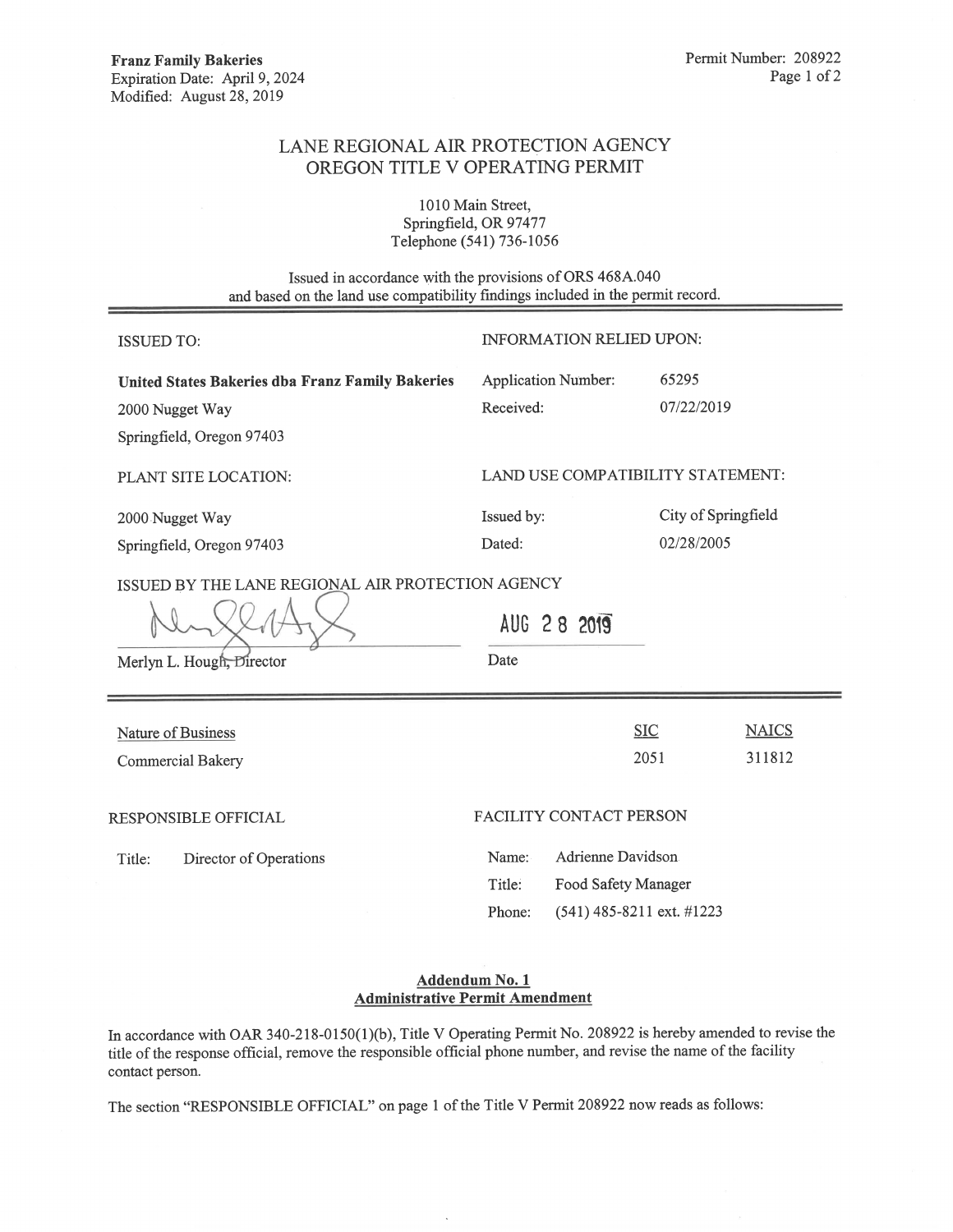## LANE REGIONAL AIR PROTECTION AGENCY OREGON TITLE V OPERATING PERMIT

1010 Main Street, Springfield, OR 97477 Telephone (541) 736-1056

Issued in accordance with the provisions of ORS 468A.040 and based on the land use compatibility findings included in the permit record.

| <b>ISSUED TO:</b>                                                                                                              | <b>INFORMATION RELIED UPON:</b>                                                                  |                                              |  |
|--------------------------------------------------------------------------------------------------------------------------------|--------------------------------------------------------------------------------------------------|----------------------------------------------|--|
| United States Bakeries dba Franz Family Bakeries<br>2000 Nugget Way<br>Springfield, Oregon 97403                               | <b>Application Number:</b><br>Received:                                                          | 65295<br>07/22/2019                          |  |
| PLANT SITE LOCATION:                                                                                                           |                                                                                                  | <b>LAND USE COMPATIBILITY STATEMENT:</b>     |  |
| 2000 Nugget Way<br>Springfield, Oregon 97403<br>ISSUED BY THE LANE REGIONAL AIR PROTECTION AGENCY<br>Merlyn L. Hough, Director | Issued by:<br>Dated:<br>AUG 28 2019<br>Date                                                      | City of Springfield<br>02/28/2005            |  |
| Nature of Business<br><b>Commercial Bakery</b>                                                                                 |                                                                                                  | <b>SIC</b><br><b>NAICS</b><br>2051<br>311812 |  |
| RESPONSIBLE OFFICIAL<br>Director of Operations<br>Title:                                                                       | FACILITY CONTACT PERSON<br>Adrienne Davidson<br>Name:<br>Title:<br>Food Safety Manager<br>Phone: | $(541)$ 485-8211 ext. #1223                  |  |

### Addendum No. 1 **Administrative Permit Amendment**

In accordance with OAR 340-218-0150(1)(b), Title V Operating Permit No. 208922 is hereby amended to revise the title of the response official, remove the responsible official phone number, and revise the name of the facility contact person.

The section "RESPONSIBLE OFFICIAL" on page 1 of the Title V Permit 208922 now reads as follows:

 $\ddot{\phantom{a}}$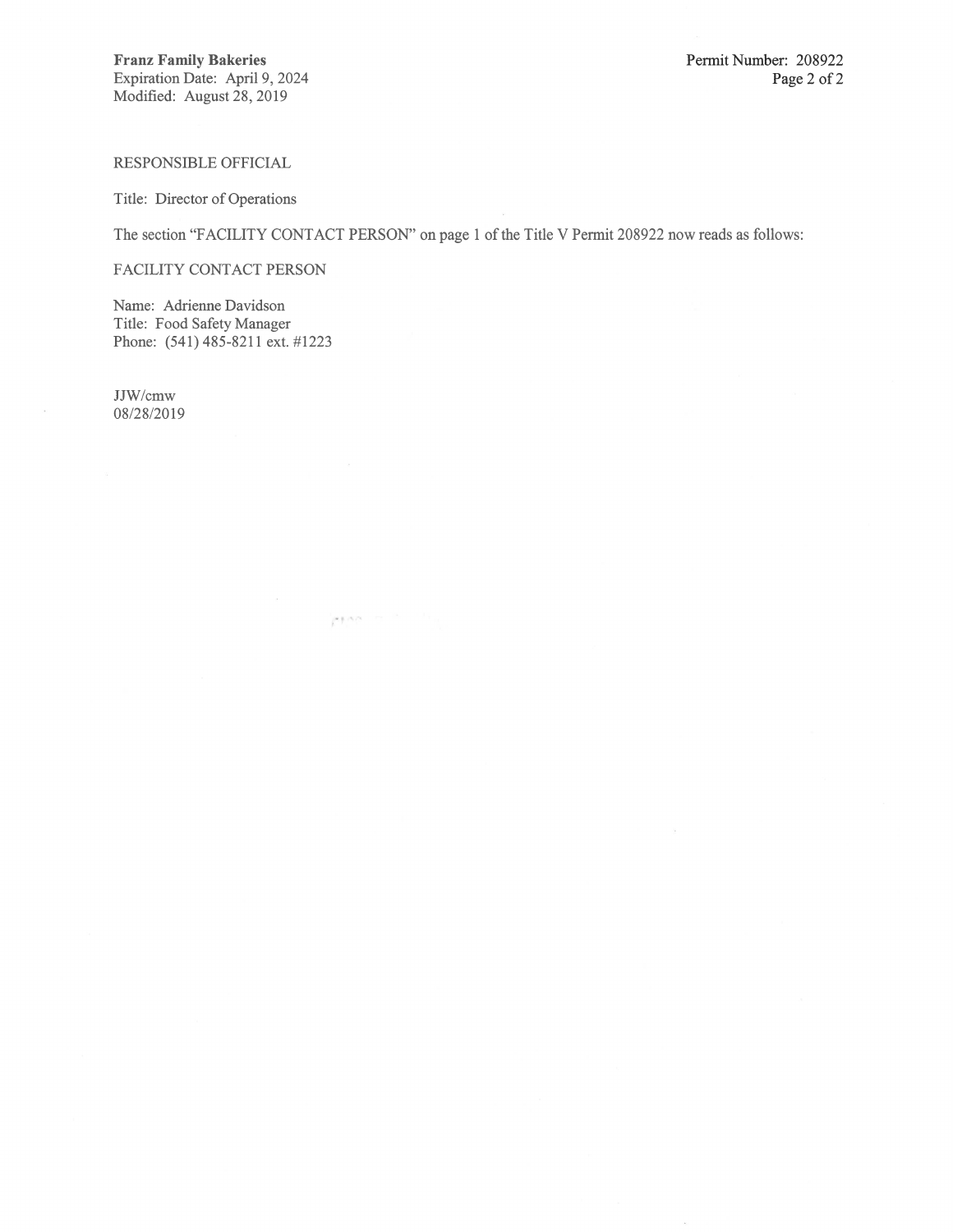RESPONSIBLE OFFICIAL

Title: Director of Operations

The section "FACILITY CONTACT PERSON" on page 1 of the Title V Permit 208922 now reads as follows:

 $\mu \neq \mu \in \mathbb{N}$  , where  $\mu$ 

FACILITY CONTACT PERSON

Name: Adrienne Davidson Title: Food Safety Manager Phone: (541) 485-8211 ext. #1223

JJW/cmw 08/28/2019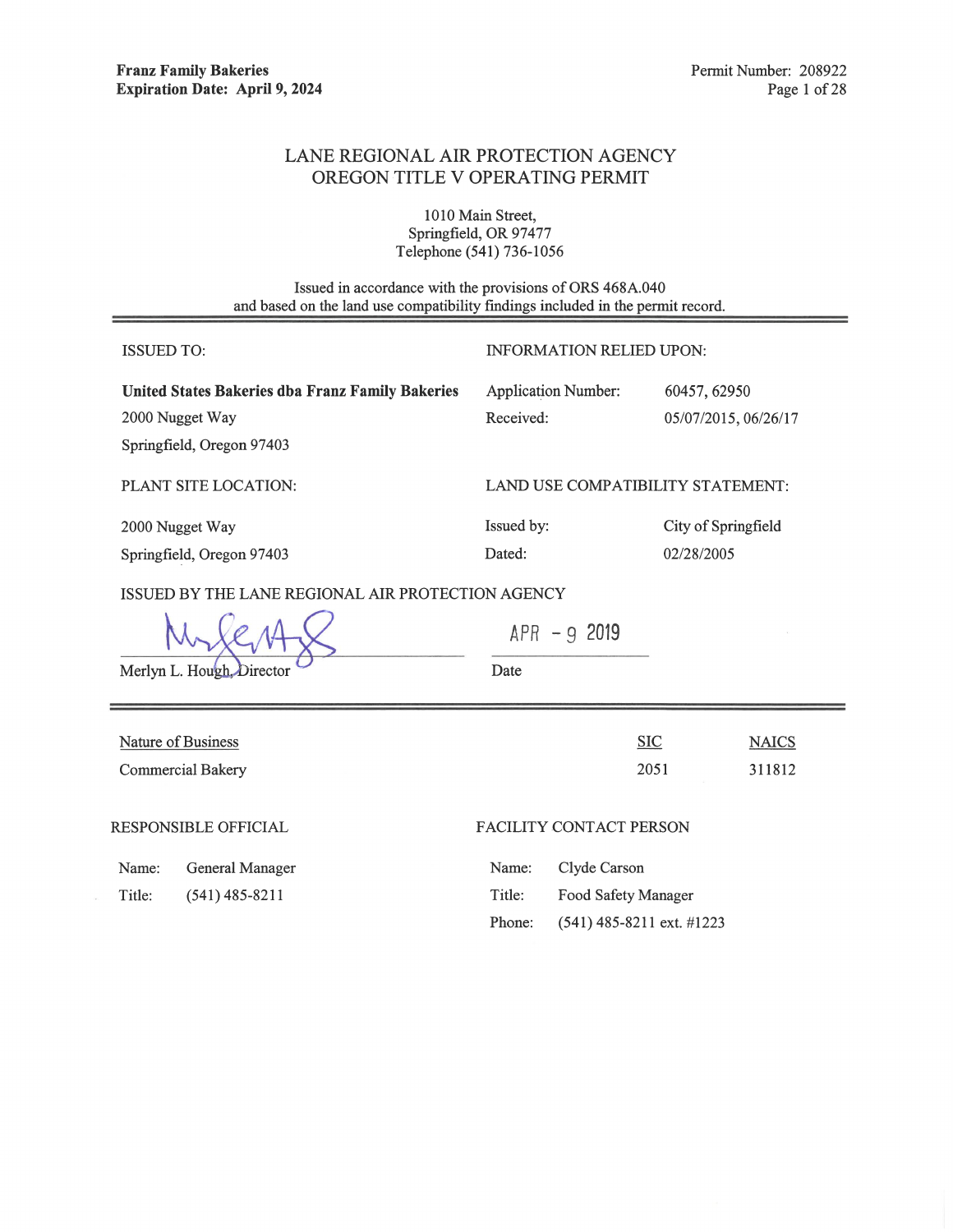# LANE REGIONAL AIR PROTECTION AGENCY OREGON TITLE V OPERATING PERMIT

1010 Main Street, Springfield, OR 97477 Telephone (541) 736-1056

Issued in accordance with the provisions of ORS 468A.040 and based on the land use compatibility findings included in the permit record.

| <b>ISSUED TO:</b>                                                              | <b>INFORMATION RELIED UPON:</b>            |  |  |
|--------------------------------------------------------------------------------|--------------------------------------------|--|--|
| <b>United States Bakeries dba Franz Family Bakeries</b>                        | <b>Application Number:</b><br>60457, 62950 |  |  |
| 2000 Nugget Way                                                                | Received:<br>05/07/2015, 06/26/17          |  |  |
| Springfield, Oregon 97403                                                      |                                            |  |  |
| PLANT SITE LOCATION:                                                           | LAND USE COMPATIBILITY STATEMENT:          |  |  |
| 2000 Nugget Way                                                                | Issued by:<br>City of Springfield          |  |  |
| Springfield, Oregon 97403                                                      | Dated:<br>02/28/2005                       |  |  |
| ISSUED BY THE LANE REGIONAL AIR PROTECTION AGENCY<br>Merlyn L. Hough, Director | $APR - 92019$<br>Date                      |  |  |
| Nature of Business                                                             | $SIC$<br><b>NAICS</b>                      |  |  |
| <b>Commercial Bakery</b>                                                       | 2051<br>311812                             |  |  |
| <b>RESPONSIBLE OFFICIAL</b>                                                    | FACILITY CONTACT PERSON                    |  |  |
| General Manager<br>Name:                                                       | Clyde Carson<br>Name:                      |  |  |
| $(541)$ 485-8211<br>Title:                                                     | Title:<br>Food Safety Manager              |  |  |

Phone:

 $(541)$  485-8211 ext. #1223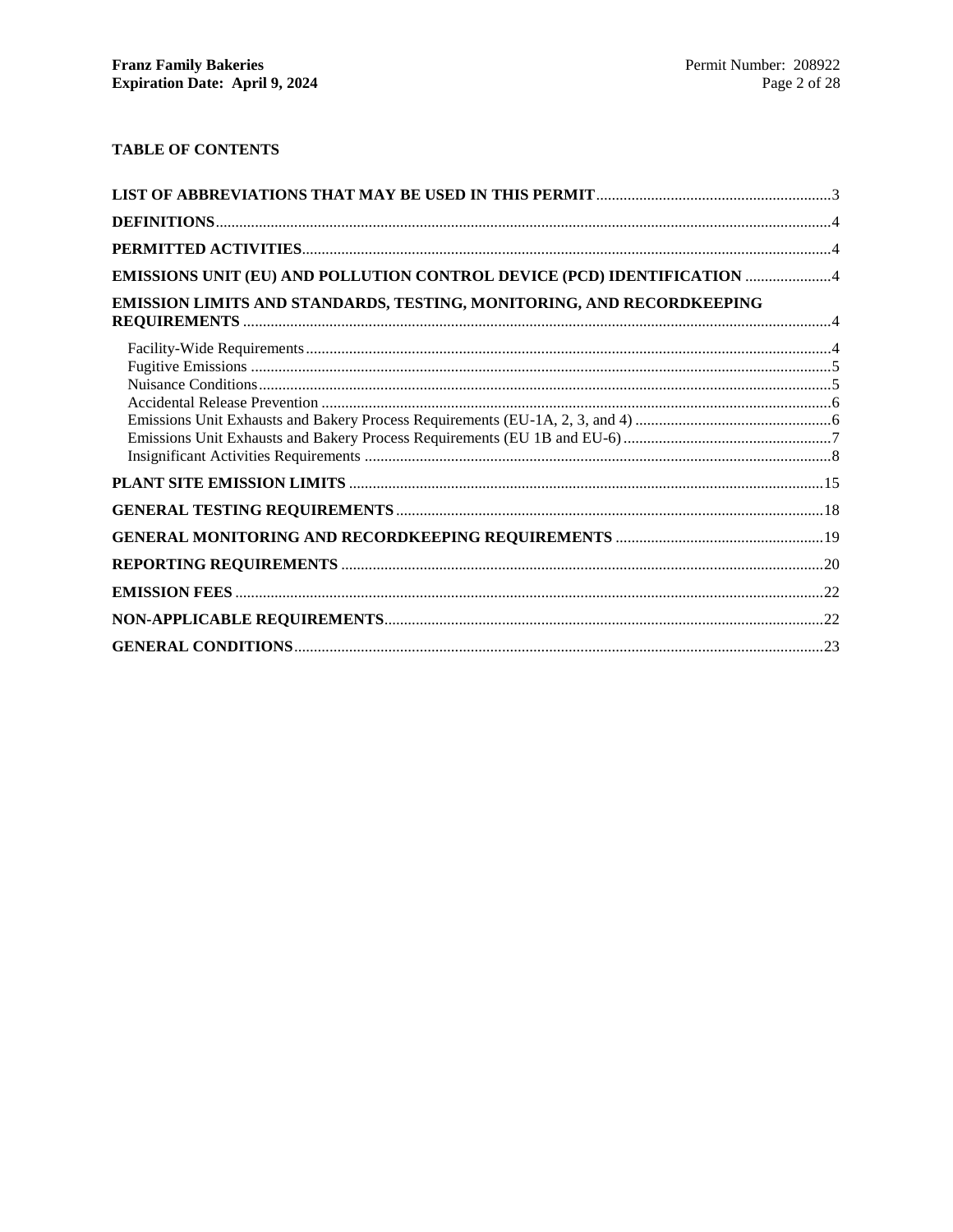# **TABLE OF CONTENTS**

| EMISSIONS UNIT (EU) AND POLLUTION CONTROL DEVICE (PCD) IDENTIFICATION 4 |  |
|-------------------------------------------------------------------------|--|
| EMISSION LIMITS AND STANDARDS, TESTING, MONITORING, AND RECORDKEEPING   |  |
|                                                                         |  |
|                                                                         |  |
|                                                                         |  |
|                                                                         |  |
|                                                                         |  |
|                                                                         |  |
|                                                                         |  |
|                                                                         |  |
|                                                                         |  |
|                                                                         |  |
|                                                                         |  |
|                                                                         |  |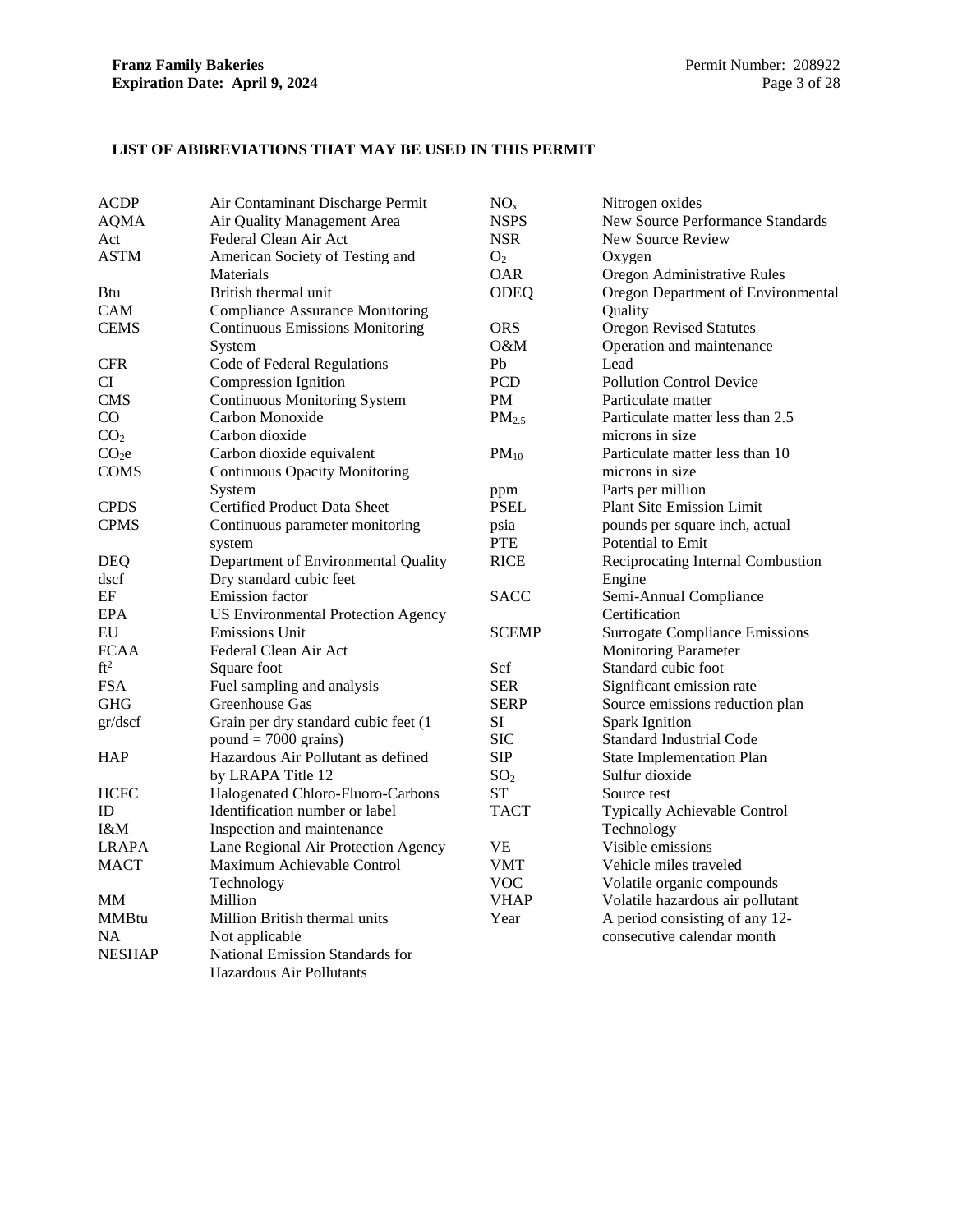### <span id="page-5-0"></span>**LIST OF ABBREVIATIONS THAT MAY BE USED IN THIS PERMIT**

| <b>ACDP</b>       | Air Contaminant Discharge Permit          | NO <sub>x</sub>   | Nitrogen oxides                         |
|-------------------|-------------------------------------------|-------------------|-----------------------------------------|
| <b>AQMA</b>       | Air Quality Management Area               | <b>NSPS</b>       | <b>New Source Performance Standards</b> |
| Act               | Federal Clean Air Act                     | <b>NSR</b>        | New Source Review                       |
| <b>ASTM</b>       | American Society of Testing and           | O <sub>2</sub>    | Oxygen                                  |
|                   | Materials                                 | <b>OAR</b>        | Oregon Administrative Rules             |
| <b>Btu</b>        | British thermal unit                      | <b>ODEQ</b>       | Oregon Department of Environmental      |
| <b>CAM</b>        | <b>Compliance Assurance Monitoring</b>    |                   | Quality                                 |
| <b>CEMS</b>       | <b>Continuous Emissions Monitoring</b>    | <b>ORS</b>        | <b>Oregon Revised Statutes</b>          |
|                   | System                                    | O&M               | Operation and maintenance               |
| <b>CFR</b>        | Code of Federal Regulations               | Pb                | Lead                                    |
| CI                | <b>Compression Ignition</b>               | <b>PCD</b>        | <b>Pollution Control Device</b>         |
| <b>CMS</b>        | <b>Continuous Monitoring System</b>       | PM                | Particulate matter                      |
| CO                | Carbon Monoxide                           | PM <sub>2.5</sub> | Particulate matter less than 2.5        |
| CO <sub>2</sub>   | Carbon dioxide                            |                   | microns in size                         |
| CO <sub>2</sub> e | Carbon dioxide equivalent                 | $PM_{10}$         | Particulate matter less than 10         |
| <b>COMS</b>       | <b>Continuous Opacity Monitoring</b>      |                   | microns in size                         |
|                   | System                                    | ppm               | Parts per million                       |
| <b>CPDS</b>       | Certified Product Data Sheet              | <b>PSEL</b>       | Plant Site Emission Limit               |
| <b>CPMS</b>       | Continuous parameter monitoring           | psia              | pounds per square inch, actual          |
|                   | system                                    | <b>PTE</b>        | Potential to Emit                       |
| <b>DEQ</b>        | Department of Environmental Quality       | <b>RICE</b>       | Reciprocating Internal Combustion       |
| dscf              | Dry standard cubic feet                   |                   | Engine                                  |
| EF                | <b>Emission</b> factor                    | <b>SACC</b>       | Semi-Annual Compliance                  |
| <b>EPA</b>        | <b>US Environmental Protection Agency</b> |                   | Certification                           |
| EU                | <b>Emissions Unit</b>                     | <b>SCEMP</b>      | <b>Surrogate Compliance Emissions</b>   |
| <b>FCAA</b>       | Federal Clean Air Act                     |                   | <b>Monitoring Parameter</b>             |
| ft <sup>2</sup>   | Square foot                               | Scf               | Standard cubic foot                     |
| <b>FSA</b>        | Fuel sampling and analysis                | <b>SER</b>        | Significant emission rate               |
| <b>GHG</b>        | Greenhouse Gas                            | <b>SERP</b>       | Source emissions reduction plan         |
| gr/dscf           | Grain per dry standard cubic feet (1      | SI                | <b>Spark Ignition</b>                   |
|                   | $pound = 7000 \text{ grains}$             | <b>SIC</b>        | <b>Standard Industrial Code</b>         |
| <b>HAP</b>        | Hazardous Air Pollutant as defined        | <b>SIP</b>        | <b>State Implementation Plan</b>        |
|                   | by LRAPA Title 12                         | SO <sub>2</sub>   | Sulfur dioxide                          |
| <b>HCFC</b>       | Halogenated Chloro-Fluoro-Carbons         | <b>ST</b>         | Source test                             |
| ID                | Identification number or label            | <b>TACT</b>       | Typically Achievable Control            |
| I&M               | Inspection and maintenance                |                   | Technology                              |
| <b>LRAPA</b>      | Lane Regional Air Protection Agency       | <b>VE</b>         | Visible emissions                       |
| MACT              | Maximum Achievable Control                | VMT               | Vehicle miles traveled                  |
|                   | Technology                                | <b>VOC</b>        | Volatile organic compounds              |
| MМ                | Million                                   | <b>VHAP</b>       | Volatile hazardous air pollutant        |
| <b>MMBtu</b>      | Million British thermal units             | Year              | A period consisting of any 12-          |
| <b>NA</b>         | Not applicable                            |                   | consecutive calendar month              |
| <b>NESHAP</b>     | National Emission Standards for           |                   |                                         |
|                   | <b>Hazardous Air Pollutants</b>           |                   |                                         |
|                   |                                           |                   |                                         |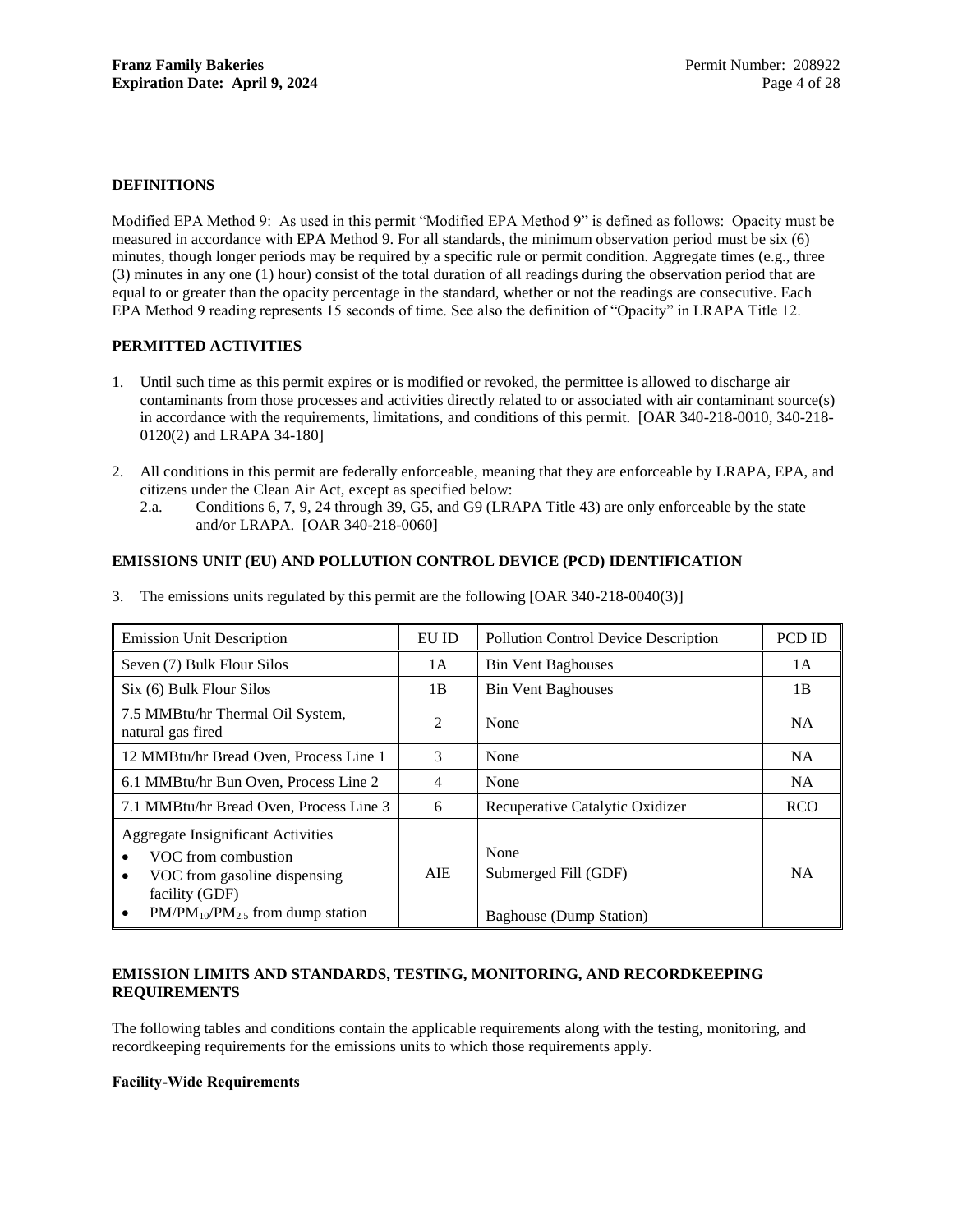### <span id="page-6-0"></span>**DEFINITIONS**

Modified EPA Method 9: As used in this permit "Modified EPA Method 9" is defined as follows: Opacity must be measured in accordance with EPA Method 9. For all standards, the minimum observation period must be six (6) minutes, though longer periods may be required by a specific rule or permit condition. Aggregate times (e.g., three (3) minutes in any one (1) hour) consist of the total duration of all readings during the observation period that are equal to or greater than the opacity percentage in the standard, whether or not the readings are consecutive. Each EPA Method 9 reading represents 15 seconds of time. See also the definition of "Opacity" in LRAPA Title 12.

### <span id="page-6-1"></span>**PERMITTED ACTIVITIES**

- 1. Until such time as this permit expires or is modified or revoked, the permittee is allowed to discharge air contaminants from those processes and activities directly related to or associated with air contaminant source(s) in accordance with the requirements, limitations, and conditions of this permit. [OAR 340-218-0010, 340-218- 0120(2) and LRAPA 34-180]
- 2. All conditions in this permit are federally enforceable, meaning that they are enforceable by LRAPA, EPA, and citizens under the Clean Air Act, except as specified below:
	- 2.a. Conditions [6,](#page-7-2) [7,](#page-7-3) [9,](#page-8-2) [24](#page-11-0) through [39,](#page-13-0) G5, and G9 (LRAPA Title 43) are only enforceable by the state and/or LRAPA. [OAR 340-218-0060]

### <span id="page-6-2"></span>**EMISSIONS UNIT (EU) AND POLLUTION CONTROL DEVICE (PCD) IDENTIFICATION**

| <b>Emission Unit Description</b>                                                                                                                                                                     | ${\rm EU}$ ID | <b>Pollution Control Device Description</b>                    | PCD ID     |
|------------------------------------------------------------------------------------------------------------------------------------------------------------------------------------------------------|---------------|----------------------------------------------------------------|------------|
| Seven (7) Bulk Flour Silos                                                                                                                                                                           | 1A            | <b>Bin Vent Baghouses</b>                                      | 1А         |
| Six (6) Bulk Flour Silos                                                                                                                                                                             | 1B            | <b>Bin Vent Baghouses</b>                                      | 1B         |
| 7.5 MMBtu/hr Thermal Oil System,<br>natural gas fired                                                                                                                                                | 2             | None                                                           | NA         |
| 12 MMBtu/hr Bread Oven, Process Line 1                                                                                                                                                               | 3             | None                                                           | <b>NA</b>  |
| 6.1 MMBtu/hr Bun Oven, Process Line 2                                                                                                                                                                | 4             | None                                                           | <b>NA</b>  |
| 7.1 MMBtu/hr Bread Oven, Process Line 3                                                                                                                                                              | 6             | Recuperative Catalytic Oxidizer                                | <b>RCO</b> |
| <b>Aggregate Insignificant Activities</b><br>VOC from combustion<br>$\bullet$<br>VOC from gasoline dispensing<br>$\bullet$<br>facility (GDF)<br>$PM/PM_{10}/PM_{2.5}$ from dump station<br>$\bullet$ | AIE.          | None<br>Submerged Fill (GDF)<br><b>Baghouse</b> (Dump Station) | <b>NA</b>  |

3. The emissions units regulated by this permit are the following [OAR 340-218-0040(3)]

### <span id="page-6-3"></span>**EMISSION LIMITS AND STANDARDS, TESTING, MONITORING, AND RECORDKEEPING REQUIREMENTS**

The following tables and conditions contain the applicable requirements along with the testing, monitoring, and recordkeeping requirements for the emissions units to which those requirements apply.

### <span id="page-6-4"></span>**Facility-Wide Requirements**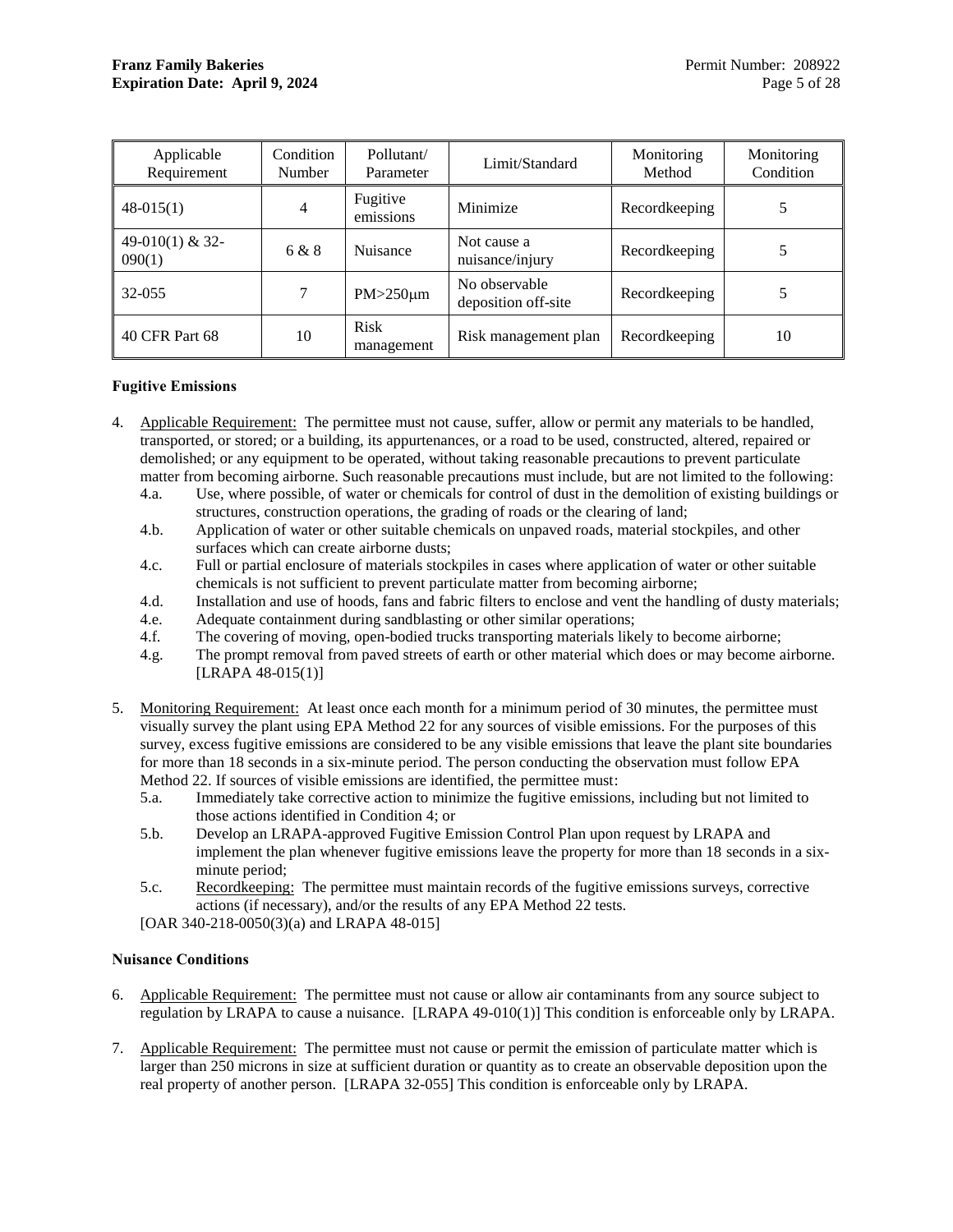| Applicable<br>Requirement | Condition<br>Number | Pollutant/<br>Parameter   | Limit/Standard                       | Monitoring<br>Method | Monitoring<br>Condition |
|---------------------------|---------------------|---------------------------|--------------------------------------|----------------------|-------------------------|
| $48-015(1)$               | 4                   | Fugitive<br>emissions     | Minimize                             | Recordkeeping        |                         |
| 49-010(1) & 32-<br>090(1) | 6 & 8               | Nuisance                  | Not cause a<br>nuisance/injury       | Recordkeeping        |                         |
| 32-055                    | 7                   | $PM > 250 \mu m$          | No observable<br>deposition off-site | Recordkeeping        | 5                       |
| 40 CFR Part 68            | 10                  | <b>Risk</b><br>management | Risk management plan                 | Recordkeeping        | 10                      |

### <span id="page-7-0"></span>**Fugitive Emissions**

- <span id="page-7-4"></span>4. Applicable Requirement: The permittee must not cause, suffer, allow or permit any materials to be handled, transported, or stored; or a building, its appurtenances, or a road to be used, constructed, altered, repaired or demolished; or any equipment to be operated, without taking reasonable precautions to prevent particulate matter from becoming airborne. Such reasonable precautions must include, but are not limited to the following:
	- 4.a. Use, where possible, of water or chemicals for control of dust in the demolition of existing buildings or structures, construction operations, the grading of roads or the clearing of land;
	- 4.b. Application of water or other suitable chemicals on unpaved roads, material stockpiles, and other surfaces which can create airborne dusts;
	- 4.c. Full or partial enclosure of materials stockpiles in cases where application of water or other suitable chemicals is not sufficient to prevent particulate matter from becoming airborne;
	- 4.d. Installation and use of hoods, fans and fabric filters to enclose and vent the handling of dusty materials;
	- 4.e. Adequate containment during sandblasting or other similar operations;
	- 4.f. The covering of moving, open-bodied trucks transporting materials likely to become airborne;
	- 4.g. The prompt removal from paved streets of earth or other material which does or may become airborne.  $[LRAPA 48-015(1)]$
- <span id="page-7-5"></span>5. Monitoring Requirement: At least once each month for a minimum period of 30 minutes, the permittee must visually survey the plant using EPA Method 22 for any sources of visible emissions. For the purposes of this survey, excess fugitive emissions are considered to be any visible emissions that leave the plant site boundaries for more than 18 seconds in a six-minute period. The person conducting the observation must follow EPA Method 22. If sources of visible emissions are identified, the permittee must:
	- 5.a. Immediately take corrective action to minimize the fugitive emissions, including but not limited to those actions identified in Condition [4;](#page-7-4) or
	- 5.b. Develop an LRAPA-approved Fugitive Emission Control Plan upon request by LRAPA and implement the plan whenever fugitive emissions leave the property for more than 18 seconds in a sixminute period;
	- 5.c. Recordkeeping: The permittee must maintain records of the fugitive emissions surveys, corrective actions (if necessary), and/or the results of any EPA Method 22 tests.

[OAR 340-218-0050(3)(a) and LRAPA 48-015]

### <span id="page-7-1"></span>**Nuisance Conditions**

- <span id="page-7-2"></span>6. Applicable Requirement: The permittee must not cause or allow air contaminants from any source subject to regulation by LRAPA to cause a nuisance. [LRAPA 49-010(1)] This condition is enforceable only by LRAPA.
- <span id="page-7-3"></span>7. Applicable Requirement: The permittee must not cause or permit the emission of particulate matter which is larger than 250 microns in size at sufficient duration or quantity as to create an observable deposition upon the real property of another person. [LRAPA 32-055] This condition is enforceable only by LRAPA.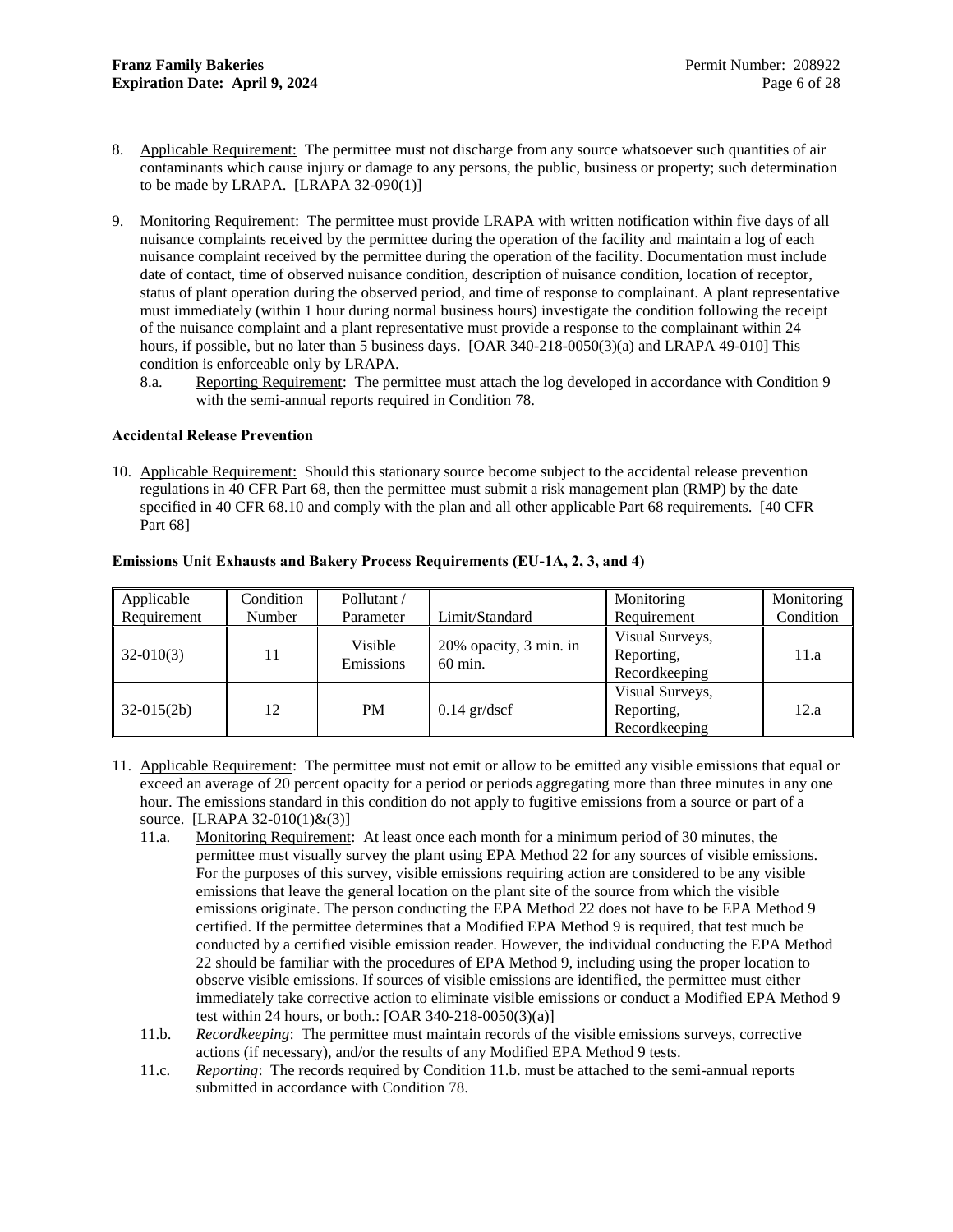- <span id="page-8-3"></span>8. Applicable Requirement: The permittee must not discharge from any source whatsoever such quantities of air contaminants which cause injury or damage to any persons, the public, business or property; such determination to be made by LRAPA.  $[LRAPA 32-090(1)]$
- <span id="page-8-2"></span>9. Monitoring Requirement: The permittee must provide LRAPA with written notification within five days of all nuisance complaints received by the permittee during the operation of the facility and maintain a log of each nuisance complaint received by the permittee during the operation of the facility. Documentation must include date of contact, time of observed nuisance condition, description of nuisance condition, location of receptor, status of plant operation during the observed period, and time of response to complainant. A plant representative must immediately (within 1 hour during normal business hours) investigate the condition following the receipt of the nuisance complaint and a plant representative must provide a response to the complainant within 24 hours, if possible, but no later than 5 business days. [OAR 340-218-0050(3)(a) and LRAPA 49-010] This condition is enforceable only by LRAPA.
	- 8.a. Reporting Requirement: The permittee must attach the log developed in accordance with Conditio[n 9](#page-8-2) with the semi-annual reports required in Condition [78.](#page-23-0)

### <span id="page-8-0"></span>**Accidental Release Prevention**

<span id="page-8-4"></span>10. Applicable Requirement: Should this stationary source become subject to the accidental release prevention regulations in 40 CFR Part 68, then the permittee must submit a risk management plan (RMP) by the date specified in 40 CFR 68.10 and comply with the plan and all other applicable Part 68 requirements. [40 CFR Part 68]

| Applicable   | Condition | Pollutant / |                        | Monitoring      | Monitoring |
|--------------|-----------|-------------|------------------------|-----------------|------------|
| Requirement  | Number    | Parameter   | Limit/Standard         | Requirement     | Condition  |
|              |           | Visible     | 20% opacity, 3 min. in | Visual Surveys, |            |
| $32-010(3)$  | 11        | Emissions   | $60$ min.              | Reporting,      | 11.a       |
|              |           |             |                        | Recordkeeping   |            |
|              |           |             |                        | Visual Surveys, |            |
| $32-015(2b)$ | 12        | <b>PM</b>   | $0.14$ gr/dscf         | Reporting,      | 12.a       |
|              |           |             |                        | Recordkeeping   |            |

### <span id="page-8-1"></span>**Emissions Unit Exhausts and Bakery Process Requirements (EU-1A, 2, 3, and 4)**

- <span id="page-8-7"></span><span id="page-8-6"></span><span id="page-8-5"></span>11. Applicable Requirement: The permittee must not emit or allow to be emitted any visible emissions that equal or exceed an average of 20 percent opacity for a period or periods aggregating more than three minutes in any one hour. The emissions standard in this condition do not apply to fugitive emissions from a source or part of a source. [LRAPA 32-010(1)&(3)]
	- 11.a. Monitoring Requirement: At least once each month for a minimum period of 30 minutes, the permittee must visually survey the plant using EPA Method 22 for any sources of visible emissions. For the purposes of this survey, visible emissions requiring action are considered to be any visible emissions that leave the general location on the plant site of the source from which the visible emissions originate. The person conducting the EPA Method 22 does not have to be EPA Method 9 certified. If the permittee determines that a Modified EPA Method 9 is required, that test much be conducted by a certified visible emission reader. However, the individual conducting the EPA Method 22 should be familiar with the procedures of EPA Method 9, including using the proper location to observe visible emissions. If sources of visible emissions are identified, the permittee must either immediately take corrective action to eliminate visible emissions or conduct a Modified EPA Method 9 test within 24 hours, or both.: [OAR 340-218-0050(3)(a)]
	- 11.b. *Recordkeeping*: The permittee must maintain records of the visible emissions surveys, corrective actions (if necessary), and/or the results of any Modified EPA Method 9 tests.
	- 11.c. *Reporting*: The records required by Condition [11.b.](#page-8-7) must be attached to the semi-annual reports submitted in accordance with Condition [78.](#page-23-0)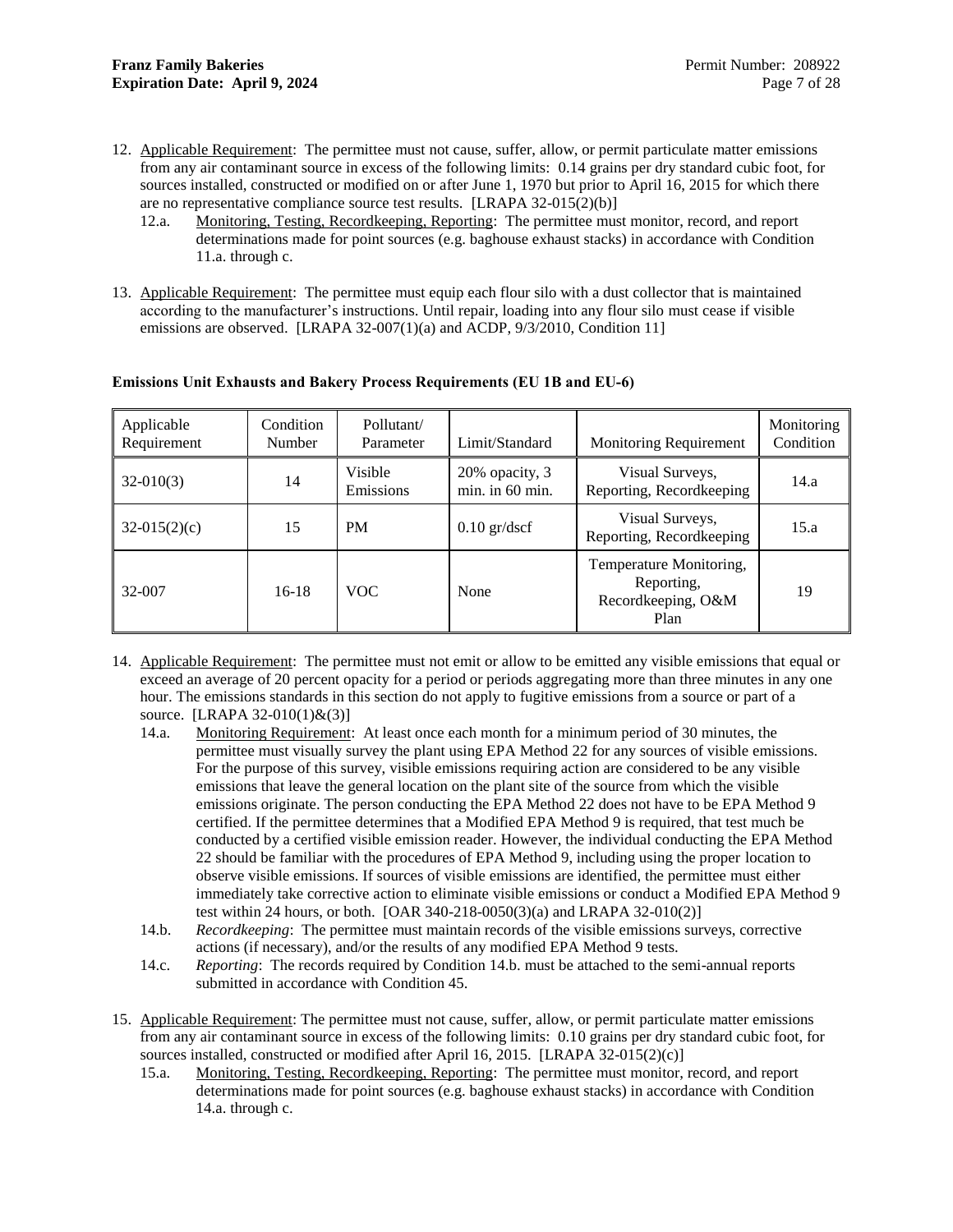- <span id="page-9-2"></span><span id="page-9-1"></span>12. Applicable Requirement: The permittee must not cause, suffer, allow, or permit particulate matter emissions from any air contaminant source in excess of the following limits: 0.14 grains per dry standard cubic foot, for sources installed, constructed or modified on or after June 1, 1970 but prior to April 16, 2015 for which there are no representative compliance source test results. [LRAPA 32-015(2)(b)]
	- 12.a. Monitoring, Testing, Recordkeeping, Reporting: The permittee must monitor, record, and report determinations made for point sources (e.g. baghouse exhaust stacks) in accordance with Condition [11.a.](#page-8-6) through c.
- 13. Applicable Requirement: The permittee must equip each flour silo with a dust collector that is maintained according to the manufacturer's instructions. Until repair, loading into any flour silo must cease if visible emissions are observed. [LRAPA 32-007(1)(a) and ACDP, 9/3/2010, Condition 11]

| Applicable<br>Requirement | Condition<br>Number | Pollutant/<br>Parameter | Limit/Standard                    | <b>Monitoring Requirement</b>                                       | Monitoring<br>Condition |
|---------------------------|---------------------|-------------------------|-----------------------------------|---------------------------------------------------------------------|-------------------------|
| $32-010(3)$               | 14                  | Visible<br>Emissions    | 20% opacity, 3<br>min. in 60 min. | Visual Surveys,<br>Reporting, Recordkeeping                         | 14.a                    |
| $32-015(2)(c)$            | 15                  | <b>PM</b>               | $0.10$ gr/dscf                    | Visual Surveys,<br>Reporting, Recordkeeping                         | 15.a                    |
| 32-007                    | $16-18$             | <b>VOC</b>              | None                              | Temperature Monitoring,<br>Reporting,<br>Recordkeeping, O&M<br>Plan | 19                      |

### <span id="page-9-0"></span>**Emissions Unit Exhausts and Bakery Process Requirements (EU 1B and EU-6)**

- <span id="page-9-4"></span><span id="page-9-3"></span>14. Applicable Requirement: The permittee must not emit or allow to be emitted any visible emissions that equal or exceed an average of 20 percent opacity for a period or periods aggregating more than three minutes in any one hour. The emissions standards in this section do not apply to fugitive emissions from a source or part of a source. [LRAPA 32-010(1)&(3)]
	- 14.a. Monitoring Requirement: At least once each month for a minimum period of 30 minutes, the permittee must visually survey the plant using EPA Method 22 for any sources of visible emissions. For the purpose of this survey, visible emissions requiring action are considered to be any visible emissions that leave the general location on the plant site of the source from which the visible emissions originate. The person conducting the EPA Method 22 does not have to be EPA Method 9 certified. If the permittee determines that a Modified EPA Method 9 is required, that test much be conducted by a certified visible emission reader. However, the individual conducting the EPA Method 22 should be familiar with the procedures of EPA Method 9, including using the proper location to observe visible emissions. If sources of visible emissions are identified, the permittee must either immediately take corrective action to eliminate visible emissions or conduct a Modified EPA Method 9 test within 24 hours, or both. [OAR 340-218-0050(3)(a) and LRAPA 32-010(2)]
	- 14.b. *Recordkeeping*: The permittee must maintain records of the visible emissions surveys, corrective actions (if necessary), and/or the results of any modified EPA Method 9 tests.
	- 14.c. *Reporting*: The records required by Conditio[n 14.b.](#page-9-7) must be attached to the semi-annual reports submitted in accordance with Condition 45.
- <span id="page-9-7"></span><span id="page-9-6"></span><span id="page-9-5"></span>15. Applicable Requirement: The permittee must not cause, suffer, allow, or permit particulate matter emissions from any air contaminant source in excess of the following limits: 0.10 grains per dry standard cubic foot, for sources installed, constructed or modified after April 16, 2015. [LRAPA 32-015(2)(c)]
	- 15.a. Monitoring, Testing, Recordkeeping, Reporting: The permittee must monitor, record, and report determinations made for point sources (e.g. baghouse exhaust stacks) in accordance with Condition [14.a.](#page-9-4) through c.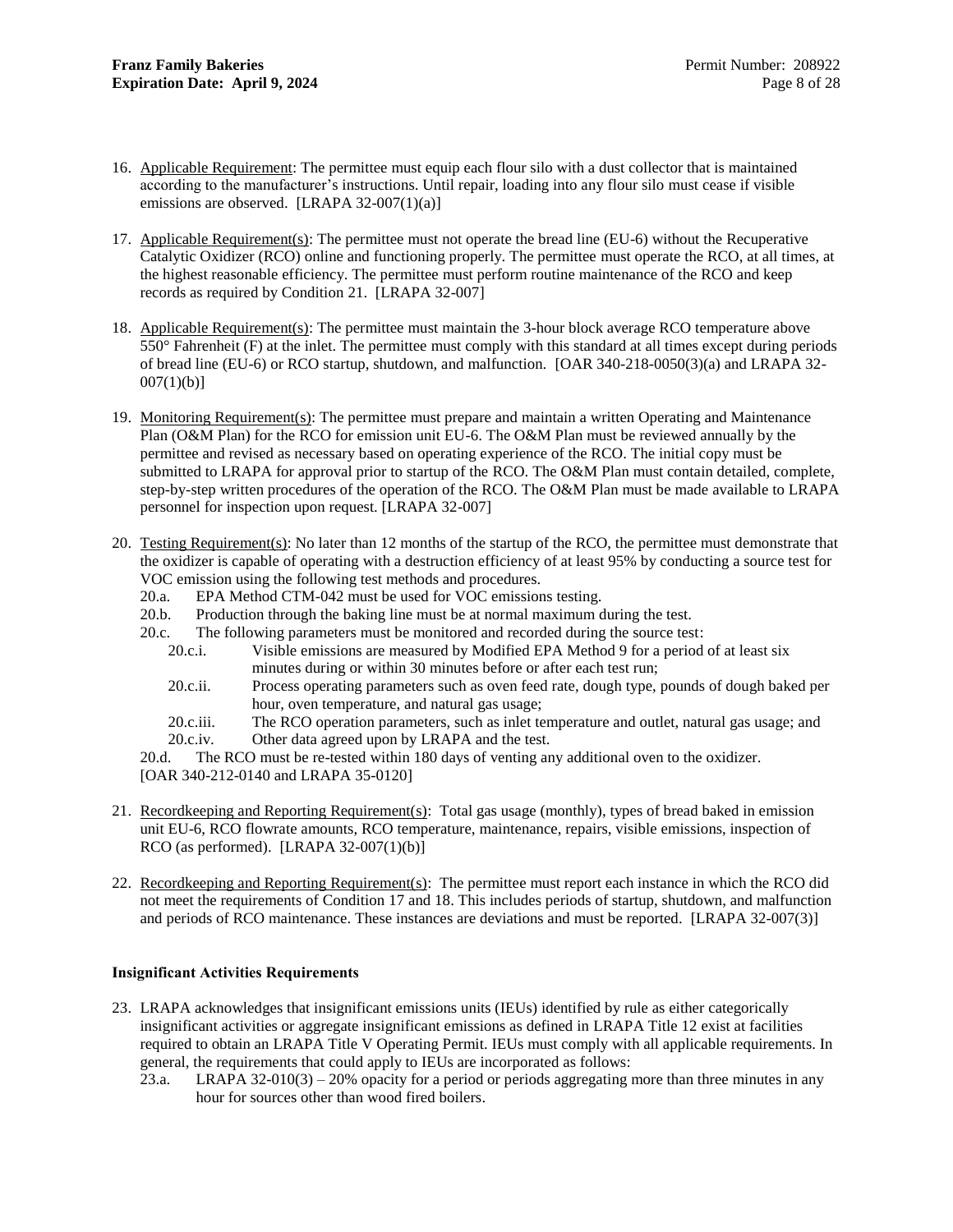- <span id="page-10-1"></span>16. Applicable Requirement: The permittee must equip each flour silo with a dust collector that is maintained according to the manufacturer's instructions. Until repair, loading into any flour silo must cease if visible emissions are observed. [LRAPA 32-007(1)(a)]
- <span id="page-10-5"></span>17. Applicable Requirement(s): The permittee must not operate the bread line (EU-6) without the Recuperative Catalytic Oxidizer (RCO) online and functioning properly. The permittee must operate the RCO, at all times, at the highest reasonable efficiency. The permittee must perform routine maintenance of the RCO and keep records as required by Condition [21.](#page-10-4) [LRAPA 32-007]
- <span id="page-10-2"></span>18. Applicable Requirement(s): The permittee must maintain the 3-hour block average RCO temperature above 550° Fahrenheit (F) at the inlet. The permittee must comply with this standard at all times except during periods of bread line (EU-6) or RCO startup, shutdown, and malfunction. [OAR 340-218-0050(3)(a) and LRAPA 32-  $007(1)(b)$ ]
- <span id="page-10-3"></span>19. Monitoring Requirement(s): The permittee must prepare and maintain a written Operating and Maintenance Plan (O&M Plan) for the RCO for emission unit EU-6. The O&M Plan must be reviewed annually by the permittee and revised as necessary based on operating experience of the RCO. The initial copy must be submitted to LRAPA for approval prior to startup of the RCO. The O&M Plan must contain detailed, complete, step-by-step written procedures of the operation of the RCO. The O&M Plan must be made available to LRAPA personnel for inspection upon request. [LRAPA 32-007]
- <span id="page-10-6"></span>20. Testing Requirement(s): No later than 12 months of the startup of the RCO, the permittee must demonstrate that the oxidizer is capable of operating with a destruction efficiency of at least 95% by conducting a source test for VOC emission using the following test methods and procedures.
	- 20.a. EPA Method CTM-042 must be used for VOC emissions testing.
	- 20.b. Production through the baking line must be at normal maximum during the test.
	- 20.c. The following parameters must be monitored and recorded during the source test:
		- 20.c.i. Visible emissions are measured by Modified EPA Method 9 for a period of at least six minutes during or within 30 minutes before or after each test run;
		- 20.c.ii. Process operating parameters such as oven feed rate, dough type, pounds of dough baked per hour, oven temperature, and natural gas usage;
		- 20.c.iii. The RCO operation parameters, such as inlet temperature and outlet, natural gas usage; and 20.c.iv. Other data agreed upon by LRAPA and the test.
	- 20.d. The RCO must be re-tested within 180 days of venting any additional oven to the oxidizer. [OAR 340-212-0140 and LRAPA 35-0120]
- <span id="page-10-4"></span>21. Recordkeeping and Reporting Requirement(s): Total gas usage (monthly), types of bread baked in emission unit EU-6, RCO flowrate amounts, RCO temperature, maintenance, repairs, visible emissions, inspection of  $RCO$  (as performed). [LRAPA 32-007(1)(b)]
- 22. Recordkeeping and Reporting Requirement(s): The permittee must report each instance in which the RCO did not meet the requirements of Condition [17](#page-10-5) and [18.](#page-10-2) This includes periods of startup, shutdown, and malfunction and periods of RCO maintenance. These instances are deviations and must be reported. [LRAPA 32-007(3)]

### <span id="page-10-0"></span>**Insignificant Activities Requirements**

- 23. LRAPA acknowledges that insignificant emissions units (IEUs) identified by rule as either categorically insignificant activities or aggregate insignificant emissions as defined in LRAPA Title 12 exist at facilities required to obtain an LRAPA Title V Operating Permit. IEUs must comply with all applicable requirements. In general, the requirements that could apply to IEUs are incorporated as follows:
	- 23.a. LRAPA  $32-010(3) 20%$  opacity for a period or periods aggregating more than three minutes in any hour for sources other than wood fired boilers.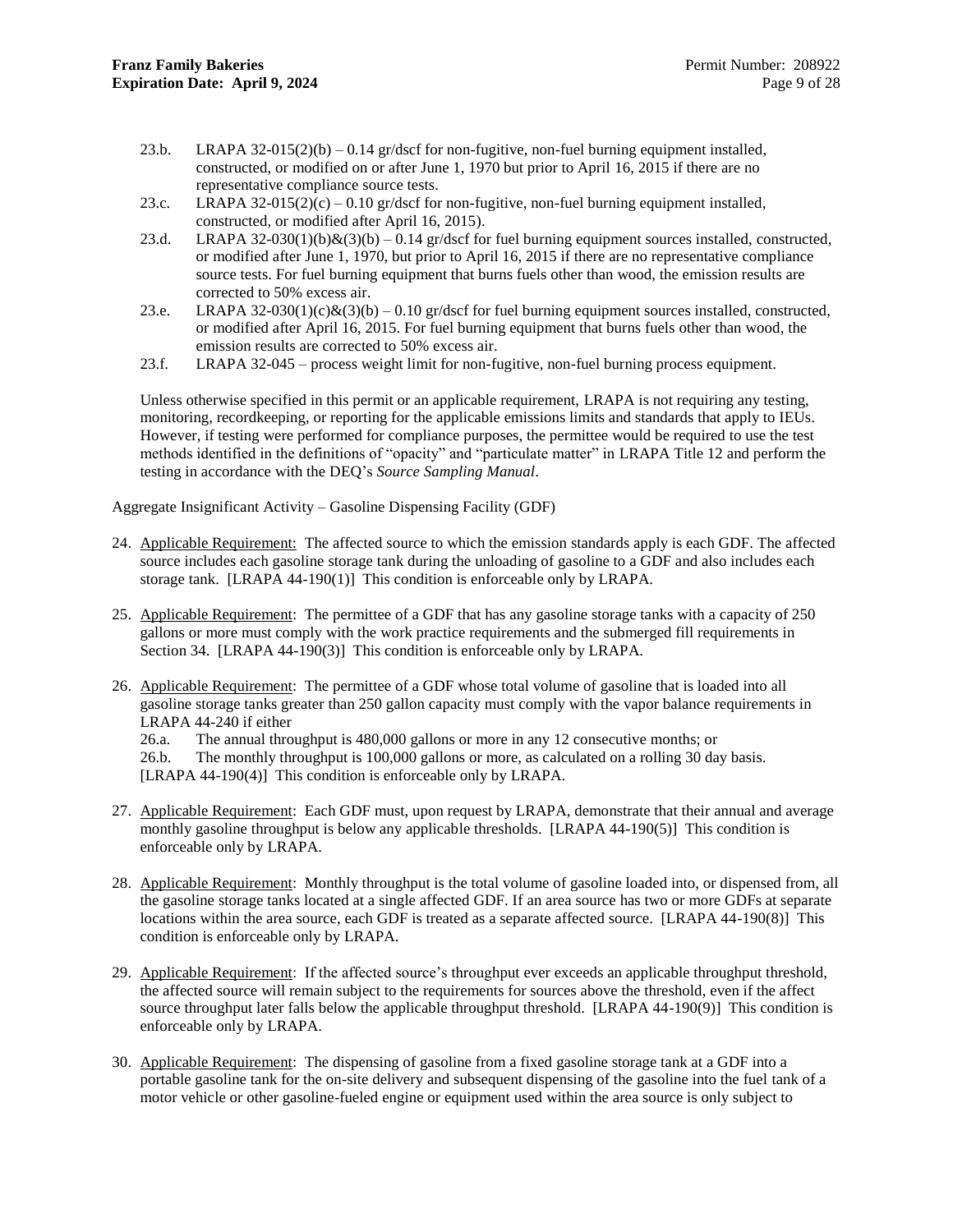- 23.b. LRAPA  $32-015(2)(b) 0.14$  gr/dscf for non-fugitive, non-fuel burning equipment installed, constructed, or modified on or after June 1, 1970 but prior to April 16, 2015 if there are no representative compliance source tests.
- 23.c. LRAPA  $32-015(2)(c) 0.10$  gr/dscf for non-fugitive, non-fuel burning equipment installed, constructed, or modified after April 16, 2015).
- 23.d. LRAPA  $32-030(1)(b)\&(3)(b)-0.14$  gr/dscf for fuel burning equipment sources installed, constructed, or modified after June 1, 1970, but prior to April 16, 2015 if there are no representative compliance source tests. For fuel burning equipment that burns fuels other than wood, the emission results are corrected to 50% excess air.
- 23.e. LRAPA  $32-030(1)(c)\&(3)(b)-0.10$  gr/dscf for fuel burning equipment sources installed, constructed, or modified after April 16, 2015. For fuel burning equipment that burns fuels other than wood, the emission results are corrected to 50% excess air.
- 23.f. LRAPA 32-045 process weight limit for non-fugitive, non-fuel burning process equipment.

Unless otherwise specified in this permit or an applicable requirement, LRAPA is not requiring any testing, monitoring, recordkeeping, or reporting for the applicable emissions limits and standards that apply to IEUs. However, if testing were performed for compliance purposes, the permittee would be required to use the test methods identified in the definitions of "opacity" and "particulate matter" in LRAPA Title 12 and perform the testing in accordance with the DEQ's *Source Sampling Manual*.

Aggregate Insignificant Activity – Gasoline Dispensing Facility (GDF)

- <span id="page-11-0"></span>24. Applicable Requirement: The affected source to which the emission standards apply is each GDF. The affected source includes each gasoline storage tank during the unloading of gasoline to a GDF and also includes each storage tank. [LRAPA 44-190(1)] This condition is enforceable only by LRAPA.
- 25. Applicable Requirement: The permittee of a GDF that has any gasoline storage tanks with a capacity of 250 gallons or more must comply with the work practice requirements and the submerged fill requirements in Section [34.](#page-12-0) [LRAPA 44-190(3)] This condition is enforceable only by LRAPA.
- 26. Applicable Requirement: The permittee of a GDF whose total volume of gasoline that is loaded into all gasoline storage tanks greater than 250 gallon capacity must comply with the vapor balance requirements in LRAPA 44-240 if either

26.a. The annual throughput is 480,000 gallons or more in any 12 consecutive months; or

26.b. The monthly throughput is 100,000 gallons or more, as calculated on a rolling 30 day basis.

[LRAPA 44-190(4)] This condition is enforceable only by LRAPA.

- 27. Applicable Requirement: Each GDF must, upon request by LRAPA, demonstrate that their annual and average monthly gasoline throughput is below any applicable thresholds. [LRAPA 44-190(5)] This condition is enforceable only by LRAPA.
- 28. Applicable Requirement: Monthly throughput is the total volume of gasoline loaded into, or dispensed from, all the gasoline storage tanks located at a single affected GDF. If an area source has two or more GDFs at separate locations within the area source, each GDF is treated as a separate affected source. [LRAPA 44-190(8)] This condition is enforceable only by LRAPA.
- 29. Applicable Requirement: If the affected source's throughput ever exceeds an applicable throughput threshold, the affected source will remain subject to the requirements for sources above the threshold, even if the affect source throughput later falls below the applicable throughput threshold. [LRAPA 44-190(9)] This condition is enforceable only by LRAPA.
- 30. Applicable Requirement: The dispensing of gasoline from a fixed gasoline storage tank at a GDF into a portable gasoline tank for the on-site delivery and subsequent dispensing of the gasoline into the fuel tank of a motor vehicle or other gasoline-fueled engine or equipment used within the area source is only subject to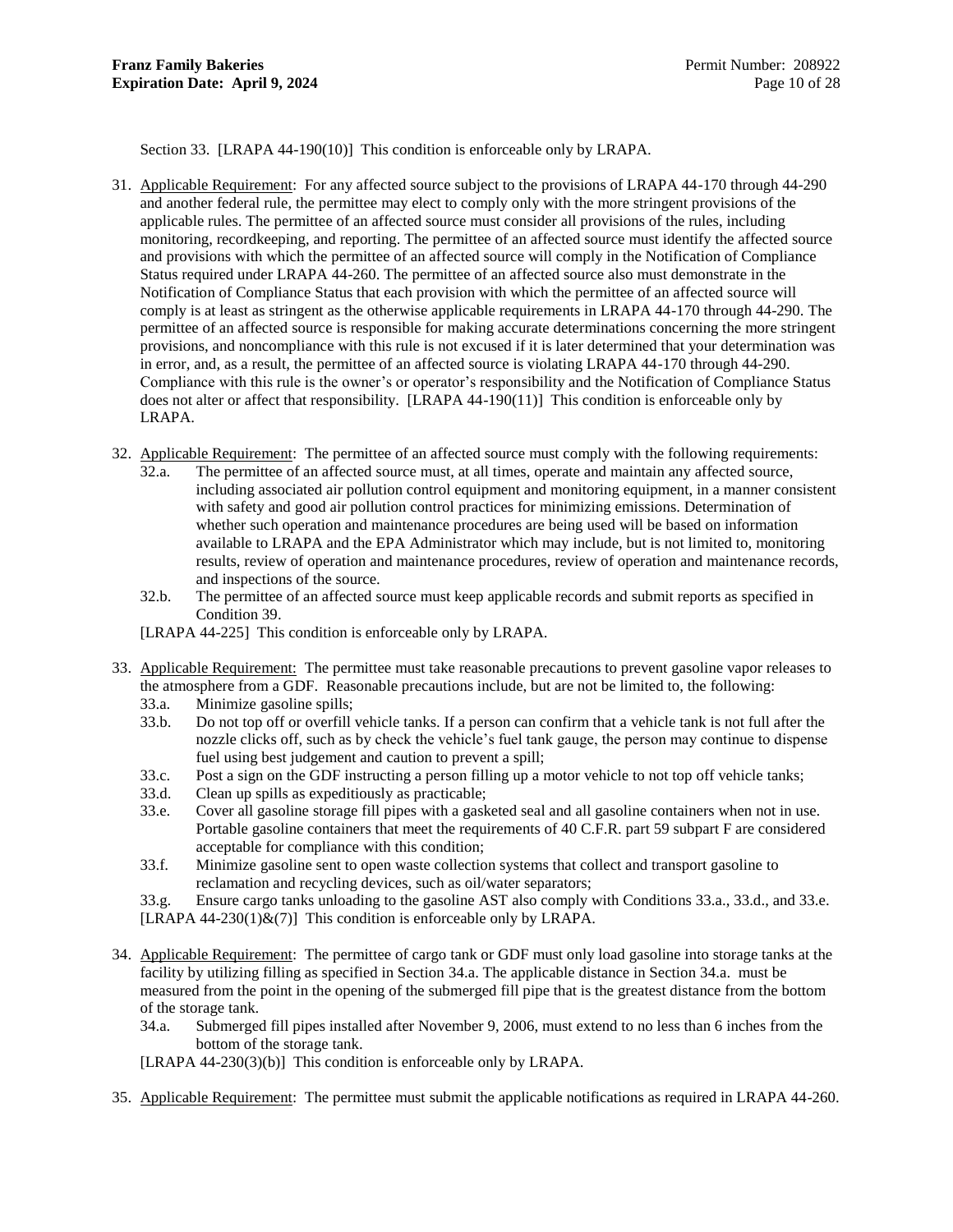Section [33.](#page-12-1) [LRAPA 44-190(10)] This condition is enforceable only by LRAPA.

- 31. Applicable Requirement: For any affected source subject to the provisions of LRAPA 44-170 through 44-290 and another federal rule, the permittee may elect to comply only with the more stringent provisions of the applicable rules. The permittee of an affected source must consider all provisions of the rules, including monitoring, recordkeeping, and reporting. The permittee of an affected source must identify the affected source and provisions with which the permittee of an affected source will comply in the Notification of Compliance Status required under LRAPA 44-260. The permittee of an affected source also must demonstrate in the Notification of Compliance Status that each provision with which the permittee of an affected source will comply is at least as stringent as the otherwise applicable requirements in LRAPA 44-170 through 44-290. The permittee of an affected source is responsible for making accurate determinations concerning the more stringent provisions, and noncompliance with this rule is not excused if it is later determined that your determination was in error, and, as a result, the permittee of an affected source is violating LRAPA 44-170 through 44-290. Compliance with this rule is the owner's or operator's responsibility and the Notification of Compliance Status does not alter or affect that responsibility. [LRAPA 44-190(11)] This condition is enforceable only by LRAPA.
- 32. Applicable Requirement: The permittee of an affected source must comply with the following requirements:
	- 32.a. The permittee of an affected source must, at all times, operate and maintain any affected source, including associated air pollution control equipment and monitoring equipment, in a manner consistent with safety and good air pollution control practices for minimizing emissions. Determination of whether such operation and maintenance procedures are being used will be based on information available to LRAPA and the EPA Administrator which may include, but is not limited to, monitoring results, review of operation and maintenance procedures, review of operation and maintenance records, and inspections of the source.
	- 32.b. The permittee of an affected source must keep applicable records and submit reports as specified in Condition [39.](#page-13-0)

<span id="page-12-6"></span>[LRAPA 44-225] This condition is enforceable only by LRAPA.

- <span id="page-12-4"></span><span id="page-12-3"></span><span id="page-12-2"></span><span id="page-12-1"></span>33. Applicable Requirement: The permittee must take reasonable precautions to prevent gasoline vapor releases to the atmosphere from a GDF. Reasonable precautions include, but are not be limited to, the following:
	- 33.a. Minimize gasoline spills;
	- 33.b. Do not top off or overfill vehicle tanks. If a person can confirm that a vehicle tank is not full after the nozzle clicks off, such as by check the vehicle's fuel tank gauge, the person may continue to dispense fuel using best judgement and caution to prevent a spill;
	- 33.c. Post a sign on the GDF instructing a person filling up a motor vehicle to not top off vehicle tanks;
	- 33.d. Clean up spills as expeditiously as practicable;
	- 33.e. Cover all gasoline storage fill pipes with a gasketed seal and all gasoline containers when not in use. Portable gasoline containers that meet the requirements of 40 C.F.R. part 59 subpart F are considered acceptable for compliance with this condition;
	- 33.f. Minimize gasoline sent to open waste collection systems that collect and transport gasoline to reclamation and recycling devices, such as oil/water separators;
	- 33.g. Ensure cargo tanks unloading to the gasoline AST also comply with Conditions [33.a.](#page-12-2)[, 33.d.](#page-12-3), an[d 33.e.](#page-12-4) [LRAPA 44-230(1) $\&$ (7)] This condition is enforceable only by LRAPA.
- <span id="page-12-0"></span>34. Applicable Requirement: The permittee of cargo tank or GDF must only load gasoline into storage tanks at the facility by utilizing filling as specified in Section [34.a.](#page-12-5) The applicable distance in Section [34.a.](#page-12-5) must be measured from the point in the opening of the submerged fill pipe that is the greatest distance from the bottom of the storage tank.
	- 34.a. Submerged fill pipes installed after November 9, 2006, must extend to no less than 6 inches from the bottom of the storage tank.

<span id="page-12-5"></span>[LRAPA 44-230(3)(b)] This condition is enforceable only by LRAPA.

35. Applicable Requirement: The permittee must submit the applicable notifications as required in LRAPA 44-260.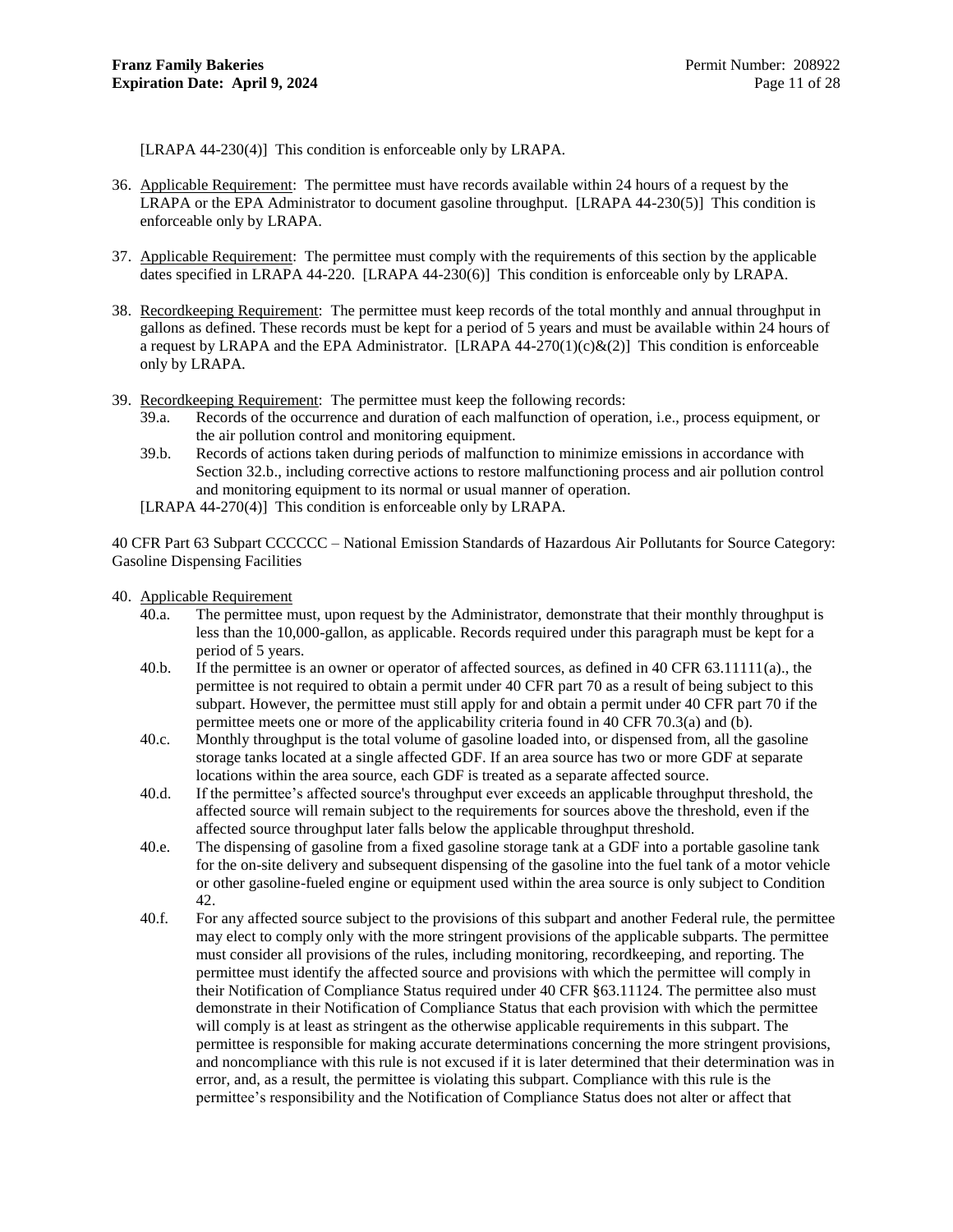[LRAPA 44-230(4)] This condition is enforceable only by LRAPA.

- 36. Applicable Requirement: The permittee must have records available within 24 hours of a request by the LRAPA or the EPA Administrator to document gasoline throughput. [LRAPA 44-230(5)] This condition is enforceable only by LRAPA.
- 37. Applicable Requirement: The permittee must comply with the requirements of this section by the applicable dates specified in LRAPA 44-220. [LRAPA 44-230(6)] This condition is enforceable only by LRAPA.
- 38. Recordkeeping Requirement: The permittee must keep records of the total monthly and annual throughput in gallons as defined. These records must be kept for a period of 5 years and must be available within 24 hours of a request by LRAPA and the EPA Administrator. [LRAPA  $44-270(1)(c)\&(2)$ ] This condition is enforceable only by LRAPA.
- <span id="page-13-0"></span>39. Recordkeeping Requirement: The permittee must keep the following records:
	- 39.a. Records of the occurrence and duration of each malfunction of operation, i.e., process equipment, or the air pollution control and monitoring equipment.
	- 39.b. Records of actions taken during periods of malfunction to minimize emissions in accordance with Section [32.b.](#page-12-6), including corrective actions to restore malfunctioning process and air pollution control and monitoring equipment to its normal or usual manner of operation.
	- [LRAPA 44-270(4)] This condition is enforceable only by LRAPA.

40 CFR Part 63 Subpart CCCCCC – National Emission Standards of Hazardous Air Pollutants for Source Category: Gasoline Dispensing Facilities

- 40. Applicable Requirement
	- 40.a. The permittee must, upon request by the Administrator, demonstrate that their monthly throughput is less than the 10,000-gallon, as applicable. Records required under this paragraph must be kept for a period of 5 years.
	- 40.b. If the permittee is an owner or operator of affected sources, as defined in 40 CFR 63.11111(a)., the permittee is not required to obtain a permit under 40 CFR part 70 as a result of being subject to this subpart. However, the permittee must still apply for and obtain a permit under 40 CFR part 70 if the permittee meets one or more of the applicability criteria found in 40 CFR 70.3(a) and (b).
	- 40.c. Monthly throughput is the total volume of gasoline loaded into, or dispensed from, all the gasoline storage tanks located at a single affected GDF. If an area source has two or more GDF at separate locations within the area source, each GDF is treated as a separate affected source.
	- 40.d. If the permittee's affected source's throughput ever exceeds an applicable throughput threshold, the affected source will remain subject to the requirements for sources above the threshold, even if the affected source throughput later falls below the applicable throughput threshold.
	- 40.e. The dispensing of gasoline from a fixed gasoline storage tank at a GDF into a portable gasoline tank for the on-site delivery and subsequent dispensing of the gasoline into the fuel tank of a motor vehicle or other gasoline-fueled engine or equipment used within the area source is only subject to Condition [42.](#page-14-0)
	- 40.f. For any affected source subject to the provisions of this subpart and another Federal rule, the permittee may elect to comply only with the more stringent provisions of the applicable subparts. The permittee must consider all provisions of the rules, including monitoring, recordkeeping, and reporting. The permittee must identify the affected source and provisions with which the permittee will comply in their Notification of Compliance Status required under 40 CFR §63.11124. The permittee also must demonstrate in their Notification of Compliance Status that each provision with which the permittee will comply is at least as stringent as the otherwise applicable requirements in this subpart. The permittee is responsible for making accurate determinations concerning the more stringent provisions, and noncompliance with this rule is not excused if it is later determined that their determination was in error, and, as a result, the permittee is violating this subpart. Compliance with this rule is the permittee's responsibility and the Notification of Compliance Status does not alter or affect that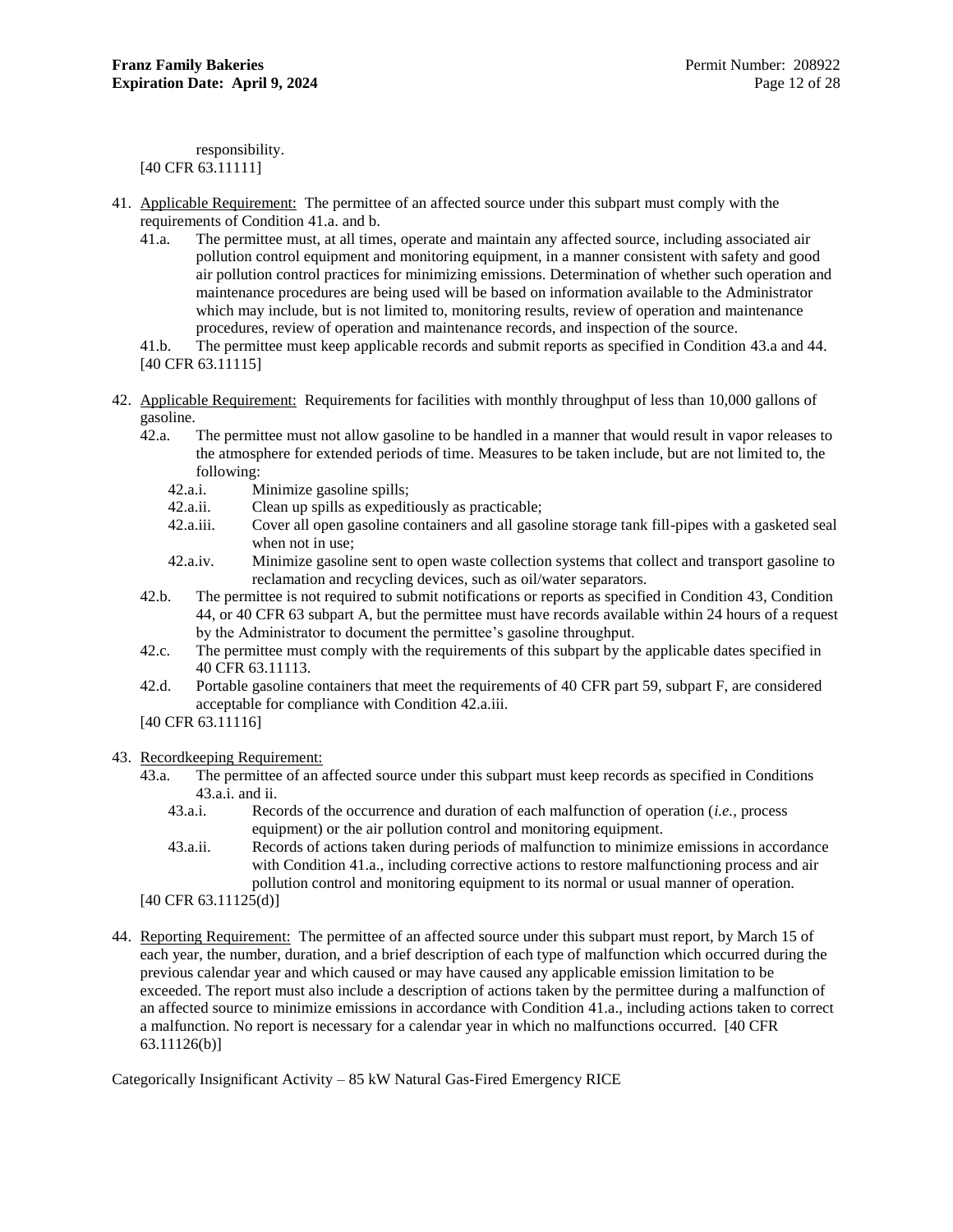responsibility. [40 CFR 63.11111]

- <span id="page-14-1"></span>41. Applicable Requirement: The permittee of an affected source under this subpart must comply with the requirements of Condition [41.a.](#page-14-1) and b.
	- 41.a. The permittee must, at all times, operate and maintain any affected source, including associated air pollution control equipment and monitoring equipment, in a manner consistent with safety and good air pollution control practices for minimizing emissions. Determination of whether such operation and maintenance procedures are being used will be based on information available to the Administrator which may include, but is not limited to, monitoring results, review of operation and maintenance procedures, review of operation and maintenance records, and inspection of the source.
	- 41.b. The permittee must keep applicable records and submit reports as specified in Condition [43.a](#page-14-2) an[d 44.](#page-14-3) [40 CFR 63.11115]
- <span id="page-14-5"></span><span id="page-14-0"></span>42. Applicable Requirement: Requirements for facilities with monthly throughput of less than 10,000 gallons of gasoline.
	- 42.a. The permittee must not allow gasoline to be handled in a manner that would result in vapor releases to the atmosphere for extended periods of time. Measures to be taken include, but are not limited to, the following:
		- 42.a.i. Minimize gasoline spills;<br>42.a.ii. Clean up spills as expedit
		- Clean up spills as expeditiously as practicable;
		- 42.a.iii. Cover all open gasoline containers and all gasoline storage tank fill-pipes with a gasketed seal when not in use;
		- 42.a.iv. Minimize gasoline sent to open waste collection systems that collect and transport gasoline to reclamation and recycling devices, such as oil/water separators.
	- 42.b. The permittee is not required to submit notifications or reports as specified in Condition [43,](#page-14-4) Condition [44,](#page-14-3) or 40 CFR 63 subpart A, but the permittee must have records available within 24 hours of a request by the Administrator to document the permittee's gasoline throughput.
	- 42.c. The permittee must comply with the requirements of this subpart by the applicable dates specified in 40 CFR 63.11113.
	- 42.d. Portable gasoline containers that meet the requirements of 40 CFR part 59, subpart F, are considered acceptable for compliance with Condition [42.a.iii.](#page-14-5)
	- [40 CFR 63.11116]

### <span id="page-14-4"></span><span id="page-14-2"></span>43. Recordkeeping Requirement:

- <span id="page-14-6"></span>43.a. The permittee of an affected source under this subpart must keep records as specified in Conditions [43.a.i.](#page-14-6) and ii.
	- 43.a.i. Records of the occurrence and duration of each malfunction of operation (*i.e.,* process equipment) or the air pollution control and monitoring equipment.
	- 43.a.ii. Records of actions taken during periods of malfunction to minimize emissions in accordance with Condition [41.a.](#page-14-1), including corrective actions to restore malfunctioning process and air pollution control and monitoring equipment to its normal or usual manner of operation.

[40 CFR 63.11125(d)]

<span id="page-14-3"></span>44. Reporting Requirement: The permittee of an affected source under this subpart must report, by March 15 of each year, the number, duration, and a brief description of each type of malfunction which occurred during the previous calendar year and which caused or may have caused any applicable emission limitation to be exceeded. The report must also include a description of actions taken by the permittee during a malfunction of an affected source to minimize emissions in accordance with Condition [41.a.](#page-14-1), including actions taken to correct a malfunction. No report is necessary for a calendar year in which no malfunctions occurred. [40 CFR 63.11126(b)]

Categorically Insignificant Activity – 85 kW Natural Gas-Fired Emergency RICE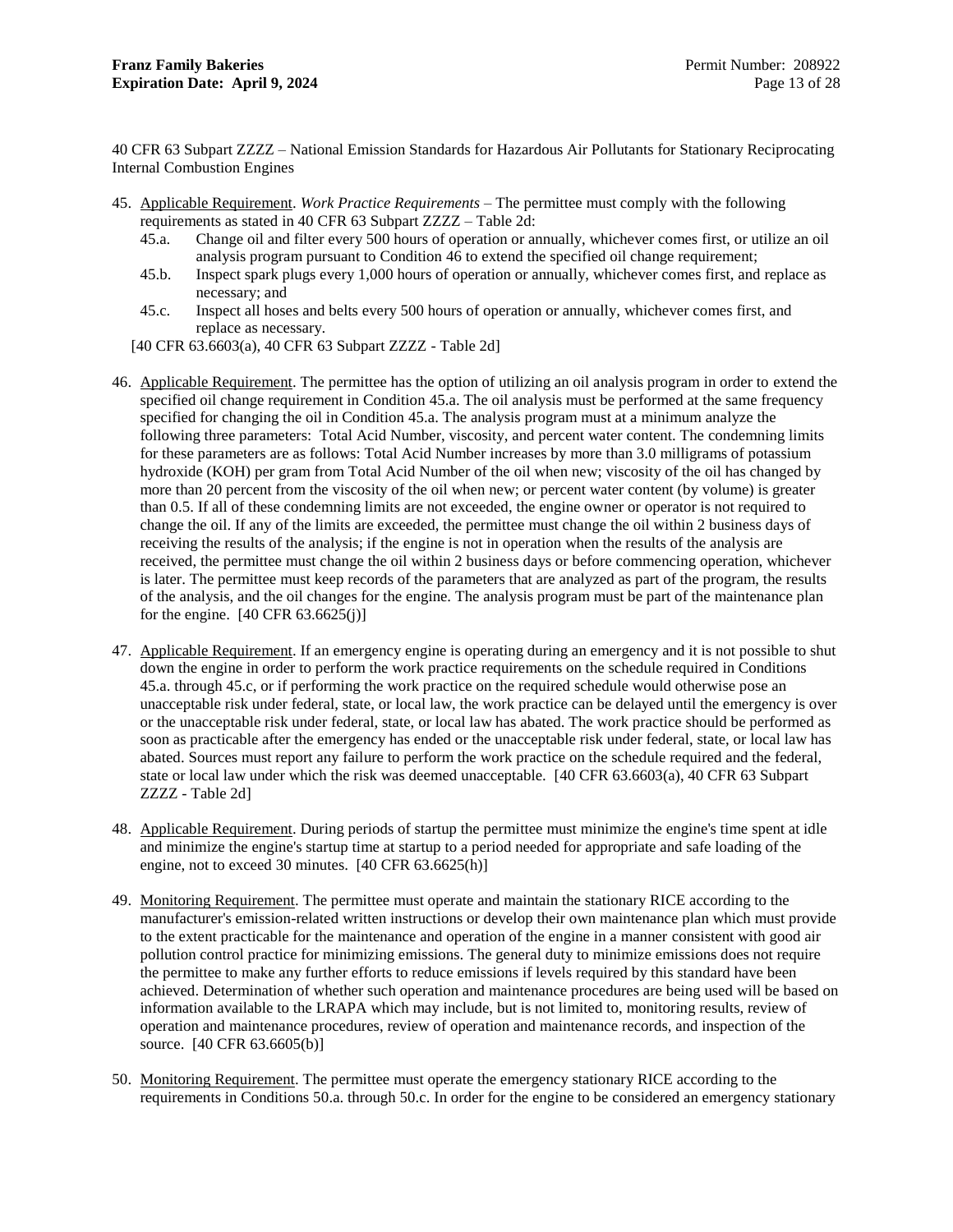40 CFR 63 Subpart ZZZZ – National Emission Standards for Hazardous Air Pollutants for Stationary Reciprocating Internal Combustion Engines

- <span id="page-15-1"></span>45. Applicable Requirement. *Work Practice Requirements –* The permittee must comply with the following requirements as stated in 40 CFR 63 Subpart ZZZZ – Table 2d:
	- 45.a. Change oil and filter every 500 hours of operation or annually, whichever comes first, or utilize an oil analysis program pursuant to Condition [46](#page-15-0) to extend the specified oil change requirement;
	- 45.b. Inspect spark plugs every 1,000 hours of operation or annually, whichever comes first, and replace as necessary; and
	- 45.c. Inspect all hoses and belts every 500 hours of operation or annually, whichever comes first, and replace as necessary.
	- [40 CFR 63.6603(a), 40 CFR 63 Subpart ZZZZ Table 2d]
- <span id="page-15-2"></span><span id="page-15-0"></span>46. Applicable Requirement. The permittee has the option of utilizing an oil analysis program in order to extend the specified oil change requirement in Condition [45.a.](#page-15-1) The oil analysis must be performed at the same frequency specified for changing the oil in Condition [45.a.](#page-15-1) The analysis program must at a minimum analyze the following three parameters: Total Acid Number, viscosity, and percent water content. The condemning limits for these parameters are as follows: Total Acid Number increases by more than 3.0 milligrams of potassium hydroxide (KOH) per gram from Total Acid Number of the oil when new; viscosity of the oil has changed by more than 20 percent from the viscosity of the oil when new; or percent water content (by volume) is greater than 0.5. If all of these condemning limits are not exceeded, the engine owner or operator is not required to change the oil. If any of the limits are exceeded, the permittee must change the oil within 2 business days of receiving the results of the analysis; if the engine is not in operation when the results of the analysis are received, the permittee must change the oil within 2 business days or before commencing operation, whichever is later. The permittee must keep records of the parameters that are analyzed as part of the program, the results of the analysis, and the oil changes for the engine. The analysis program must be part of the maintenance plan for the engine.  $[40 \text{ CFR } 63.6625(j)]$
- 47. Applicable Requirement. If an emergency engine is operating during an emergency and it is not possible to shut down the engine in order to perform the work practice requirements on the schedule required in Conditions [45.a.](#page-15-1) through [45.c,](#page-15-2) or if performing the work practice on the required schedule would otherwise pose an unacceptable risk under federal, state, or local law, the work practice can be delayed until the emergency is over or the unacceptable risk under federal, state, or local law has abated. The work practice should be performed as soon as practicable after the emergency has ended or the unacceptable risk under federal, state, or local law has abated. Sources must report any failure to perform the work practice on the schedule required and the federal, state or local law under which the risk was deemed unacceptable. [40 CFR 63.6603(a), 40 CFR 63 Subpart ZZZZ - Table 2d]
- 48. Applicable Requirement. During periods of startup the permittee must minimize the engine's time spent at idle and minimize the engine's startup time at startup to a period needed for appropriate and safe loading of the engine, not to exceed 30 minutes.  $[40 \text{ CFR } 63.6625 \text{ (h)}]$
- 49. Monitoring Requirement. The permittee must operate and maintain the stationary RICE according to the manufacturer's emission-related written instructions or develop their own maintenance plan which must provide to the extent practicable for the maintenance and operation of the engine in a manner consistent with good air pollution control practice for minimizing emissions. The general duty to minimize emissions does not require the permittee to make any further efforts to reduce emissions if levels required by this standard have been achieved. Determination of whether such operation and maintenance procedures are being used will be based on information available to the LRAPA which may include, but is not limited to, monitoring results, review of operation and maintenance procedures, review of operation and maintenance records, and inspection of the source. [40 CFR 63.6605(b)]
- 50. Monitoring Requirement. The permittee must operate the emergency stationary RICE according to the requirements in Conditions [50.a.](#page-16-0) through [50.c.](#page-16-1) In order for the engine to be considered an emergency stationary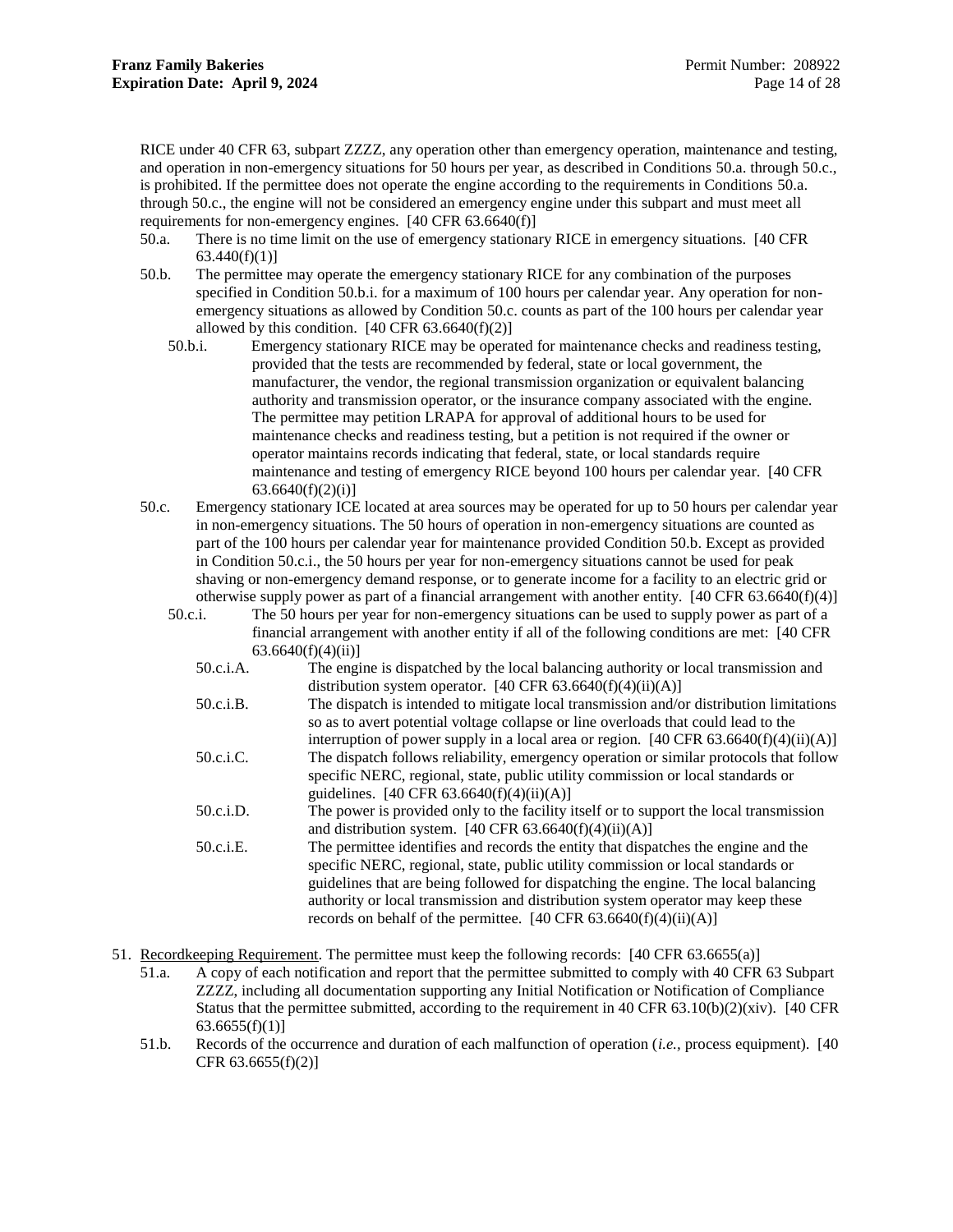RICE under 40 CFR 63, subpart ZZZZ, any operation other than emergency operation, maintenance and testing, and operation in non-emergency situations for 50 hours per year, as described in Conditions [50.a.](#page-16-0) throug[h 50.c.](#page-16-1), is prohibited. If the permittee does not operate the engine according to the requirements in Conditions [50.a.](#page-16-0) throug[h 50.c.](#page-16-1), the engine will not be considered an emergency engine under this subpart and must meet all requirements for non-emergency engines. [40 CFR 63.6640(f)]

- <span id="page-16-0"></span>50.a. There is no time limit on the use of emergency stationary RICE in emergency situations. [40 CFR  $63.440(f)(1)$ ]
- <span id="page-16-3"></span><span id="page-16-2"></span>50.b. The permittee may operate the emergency stationary RICE for any combination of the purposes specified in Condition [50.b.i.](#page-16-2) for a maximum of 100 hours per calendar year. Any operation for nonemergency situations as allowed by Condition [50.c.](#page-16-1) counts as part of the 100 hours per calendar year allowed by this condition.  $[40 \text{ CFR } 63.6640(f)(2)]$ 
	- 50.b.i. Emergency stationary RICE may be operated for maintenance checks and readiness testing, provided that the tests are recommended by federal, state or local government, the manufacturer, the vendor, the regional transmission organization or equivalent balancing authority and transmission operator, or the insurance company associated with the engine. The permittee may petition LRAPA for approval of additional hours to be used for maintenance checks and readiness testing, but a petition is not required if the owner or operator maintains records indicating that federal, state, or local standards require maintenance and testing of emergency RICE beyond 100 hours per calendar year. [40 CFR  $63.6640(f)(2)(i)$ ]
- <span id="page-16-4"></span><span id="page-16-1"></span>50.c. Emergency stationary ICE located at area sources may be operated for up to 50 hours per calendar year in non-emergency situations. The 50 hours of operation in non-emergency situations are counted as part of the 100 hours per calendar year for maintenance provided Condition [50.b.](#page-16-3) Except as provided in Condition [50.c.i.](#page-16-4), the 50 hours per year for non-emergency situations cannot be used for peak shaving or non-emergency demand response, or to generate income for a facility to an electric grid or otherwise supply power as part of a financial arrangement with another entity. [40 CFR 63.6640(f)(4)]
	- 50.c.i. The 50 hours per year for non-emergency situations can be used to supply power as part of a financial arrangement with another entity if all of the following conditions are met: [40 CFR 63.6640(f)(4)(ii)]
		- 50.c.i.A. The engine is dispatched by the local balancing authority or local transmission and distribution system operator.  $[40 \text{ CFR } 63.6640(f)(4)(ii)(A)]$
		- 50.c.i.B. The dispatch is intended to mitigate local transmission and/or distribution limitations so as to avert potential voltage collapse or line overloads that could lead to the interruption of power supply in a local area or region.  $[40 \text{ CFR } 63.6640 \text{ (f)}(4) \text{ (ii)}(A)]$
		- 50.c.i.C. The dispatch follows reliability, emergency operation or similar protocols that follow specific NERC, regional, state, public utility commission or local standards or guidelines.  $[40 \text{ CFR } 63.6640(f)(4)(ii)(A)]$
		- 50.c.i.D. The power is provided only to the facility itself or to support the local transmission and distribution system.  $[40 \text{ CFR } 63.6640(f)(4)(ii)(A)]$
		- 50.c.i.E. The permittee identifies and records the entity that dispatches the engine and the specific NERC, regional, state, public utility commission or local standards or guidelines that are being followed for dispatching the engine. The local balancing authority or local transmission and distribution system operator may keep these records on behalf of the permittee.  $[40 \text{ CFR } 63.6640(f)(4)(ii)(A)]$
- 51. Recordkeeping Requirement. The permittee must keep the following records: [40 CFR 63.6655(a)]
	- 51.a. A copy of each notification and report that the permittee submitted to comply with 40 CFR 63 Subpart ZZZZ, including all documentation supporting any Initial Notification or Notification of Compliance Status that the permittee submitted, according to the requirement in 40 CFR 63.10(b)(2)(xiv). [40 CFR  $63.6655(f)(1)$ ]
	- 51.b. Records of the occurrence and duration of each malfunction of operation (*i.e.,* process equipment). [40 CFR 63.6655(f)(2)]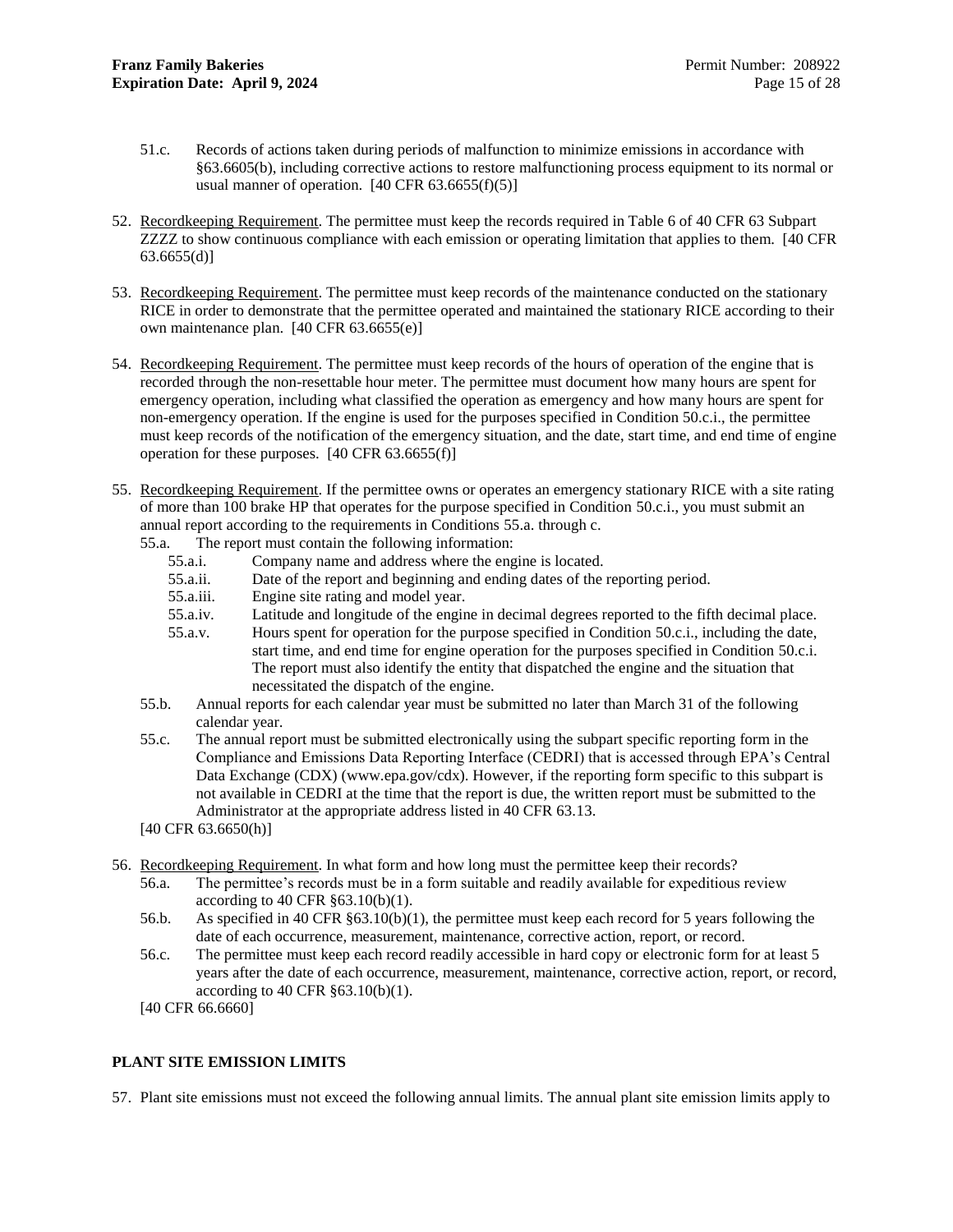- 51.c. Records of actions taken during periods of malfunction to minimize emissions in accordance with §63.6605(b), including corrective actions to restore malfunctioning process equipment to its normal or usual manner of operation.  $[40 \text{ CFR } 63.6655(f)(5)]$
- 52. Recordkeeping Requirement. The permittee must keep the records required in Table 6 of 40 CFR 63 Subpart ZZZZ to show continuous compliance with each emission or operating limitation that applies to them. [40 CFR  $63.6655(d)$
- 53. Recordkeeping Requirement. The permittee must keep records of the maintenance conducted on the stationary RICE in order to demonstrate that the permittee operated and maintained the stationary RICE according to their own maintenance plan. [40 CFR 63.6655(e)]
- 54. Recordkeeping Requirement. The permittee must keep records of the hours of operation of the engine that is recorded through the non-resettable hour meter. The permittee must document how many hours are spent for emergency operation, including what classified the operation as emergency and how many hours are spent for non-emergency operation. If the engine is used for the purposes specified in Condition [50.c.i.](#page-16-4), the permittee must keep records of the notification of the emergency situation, and the date, start time, and end time of engine operation for these purposes. [40 CFR 63.6655(f)]
- <span id="page-17-1"></span>55. Recordkeeping Requirement. If the permittee owns or operates an emergency stationary RICE with a site rating of more than 100 brake HP that operates for the purpose specified in Condition [50.c.i.](#page-16-4), you must submit an annual report according to the requirements in Conditions [55.a.](#page-17-1) through c.
	- 55.a. The report must contain the following information:
		- 55.a.i. Company name and address where the engine is located.
		- 55.a.ii. Date of the report and beginning and ending dates of the reporting period.
		- 55.a.iii. Engine site rating and model year.
		- 55.a.iv. Latitude and longitude of the engine in decimal degrees reported to the fifth decimal place.
		- 55.a.v. Hours spent for operation for the purpose specified in Condition [50.c.i.](#page-16-4), including the date, start time, and end time for engine operation for the purposes specified in Condition [50.c.i.](#page-16-4) The report must also identify the entity that dispatched the engine and the situation that necessitated the dispatch of the engine.
	- 55.b. Annual reports for each calendar year must be submitted no later than March 31 of the following calendar year.
	- 55.c. The annual report must be submitted electronically using the subpart specific reporting form in the Compliance and Emissions Data Reporting Interface (CEDRI) that is accessed through EPA's Central Data Exchange (CDX) (www.epa.gov/cdx). However, if the reporting form specific to this subpart is not available in CEDRI at the time that the report is due, the written report must be submitted to the Administrator at the appropriate address listed in 40 CFR 63.13.
	- [40 CFR 63.6650(h)]
- 56. Recordkeeping Requirement. In what form and how long must the permittee keep their records?
	- 56.a. The permittee's records must be in a form suitable and readily available for expeditious review according to 40 CFR §63.10(b)(1).
	- 56.b. As specified in 40 CFR §63.10(b)(1), the permittee must keep each record for 5 years following the date of each occurrence, measurement, maintenance, corrective action, report, or record.
	- 56.c. The permittee must keep each record readily accessible in hard copy or electronic form for at least 5 years after the date of each occurrence, measurement, maintenance, corrective action, report, or record, according to 40 CFR §63.10(b)(1).
	- [40 CFR 66.6660]

### <span id="page-17-0"></span>**PLANT SITE EMISSION LIMITS**

<span id="page-17-2"></span>57. Plant site emissions must not exceed the following annual limits. The annual plant site emission limits apply to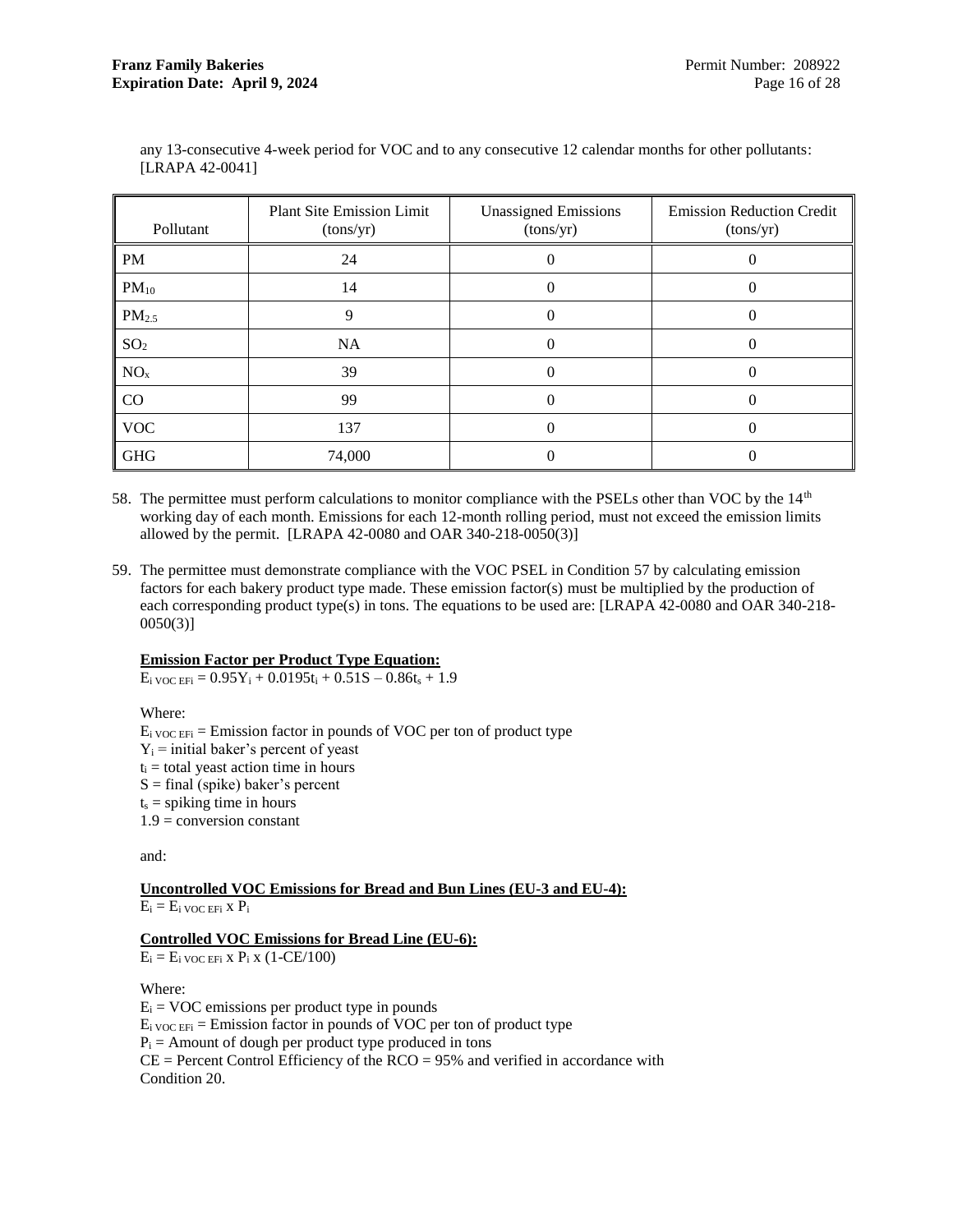| Pollutant         | <b>Plant Site Emission Limit</b><br>(tons/yr) | <b>Unassigned Emissions</b><br>(tons/yr) | <b>Emission Reduction Credit</b><br>(tons/yr) |
|-------------------|-----------------------------------------------|------------------------------------------|-----------------------------------------------|
| <b>PM</b>         | 24                                            | O                                        |                                               |
| $PM_{10}$         | 14                                            |                                          |                                               |
| PM <sub>2.5</sub> | 9                                             | $_{0}$                                   |                                               |
| SO <sub>2</sub>   | <b>NA</b>                                     | 0                                        | $\theta$                                      |
| NO <sub>x</sub>   | 39                                            | 0                                        |                                               |
| <b>CO</b>         | 99                                            | 0                                        |                                               |
| <b>VOC</b>        | 137                                           |                                          |                                               |
| <b>GHG</b>        | 74,000                                        |                                          |                                               |

any 13-consecutive 4-week period for VOC and to any consecutive 12 calendar months for other pollutants: [LRAPA 42-0041]

- 58. The permittee must perform calculations to monitor compliance with the PSELs other than VOC by the 14<sup>th</sup> working day of each month. Emissions for each 12-month rolling period, must not exceed the emission limits allowed by the permit. [LRAPA 42-0080 and OAR 340-218-0050(3)]
- <span id="page-18-0"></span>59. The permittee must demonstrate compliance with the VOC PSEL in Condition [57](#page-17-2) by calculating emission factors for each bakery product type made. These emission factor(s) must be multiplied by the production of each corresponding product type(s) in tons. The equations to be used are: [LRAPA 42-0080 and OAR 340-218-  $0050(3)$ ]

### **Emission Factor per Product Type Equation:**

 $E_i$  voc  $EF_i$  = 0.95 $Y_i$  + 0.0195 $t_i$  + 0.51S – 0.86 $t_s$  + 1.9

Where:

 $E<sub>i</sub>$  voc  $EF<sub>i</sub>$  = Emission factor in pounds of VOC per ton of product type  $Y_i$  = initial baker's percent of yeast  $t_i$  = total yeast action time in hours  $S = final$  (spike) baker's percent  $t<sub>s</sub>$  = spiking time in hours  $1.9$  = conversion constant

and:

### **Uncontrolled VOC Emissions for Bread and Bun Lines (EU-3 and EU-4):**  $E_i = E_i$  voc efi x  $P_i$

### **Controlled VOC Emissions for Bread Line (EU-6):**

 $E_i = E_i$  voc EF<sub>i</sub> x  $P_i$  x (1-CE/100)

Where:

 $E_i = VOC$  emissions per product type in pounds  $E_i$  voc  $EF_i$  = Emission factor in pounds of VOC per ton of product type  $P_i$  = Amount of dough per product type produced in tons  $CE = Percent Control Efficiency$  of the  $RCO = 95%$  and verified in accordance with Condition [20.](#page-10-6)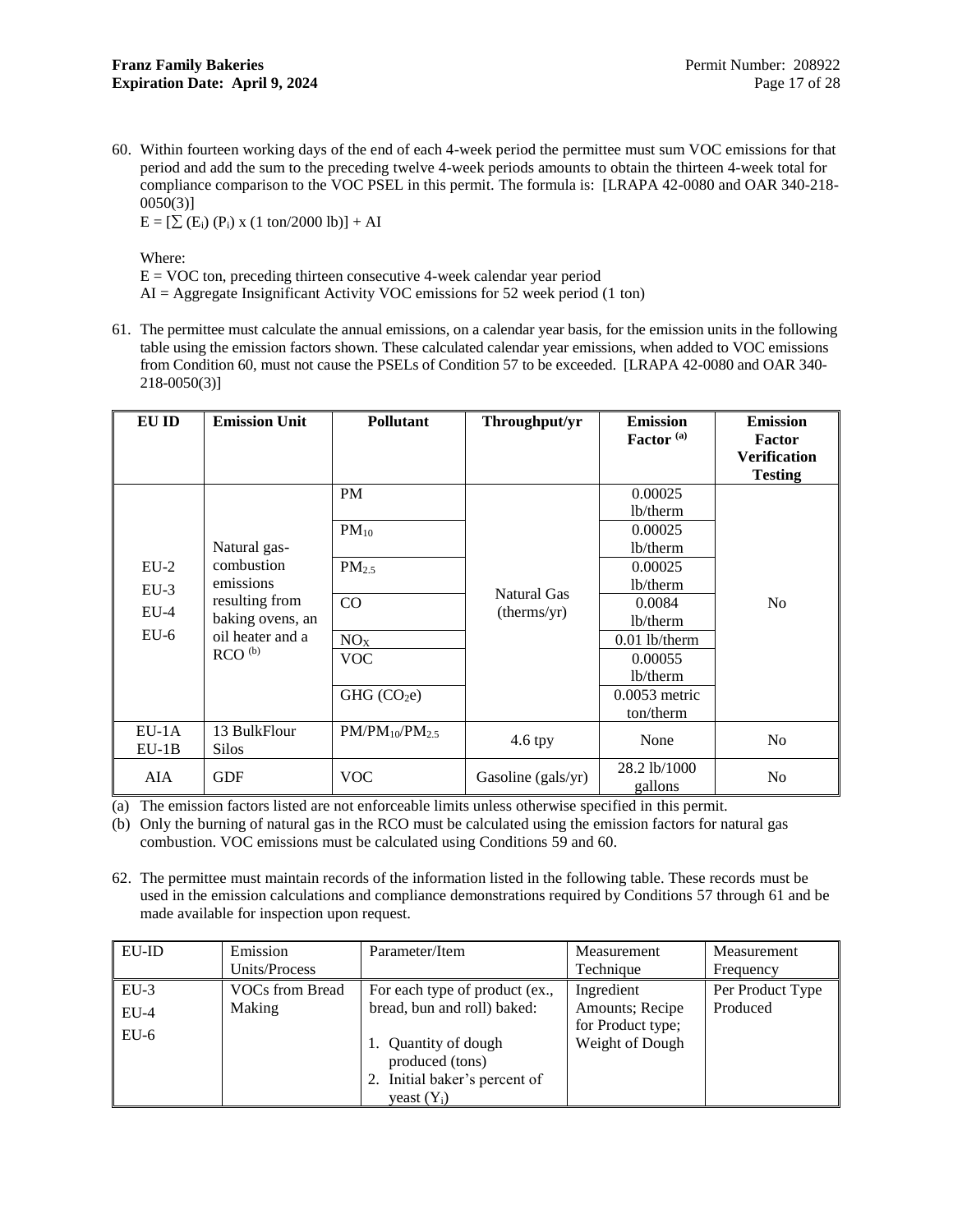<span id="page-19-0"></span>60. Within fourteen working days of the end of each 4-week period the permittee must sum VOC emissions for that period and add the sum to the preceding twelve 4-week periods amounts to obtain the thirteen 4-week total for compliance comparison to the VOC PSEL in this permit. The formula is: [LRAPA 42-0080 and OAR 340-218-  $0050(3)$ ]

 $E = [\sum (E_i) (P_i) \times (1 \text{ ton}/2000 \text{ lb})] + AI$ 

Where:

 $E = VOC$  ton, preceding thirteen consecutive 4-week calendar year period

 $AI = Aggregation$  Insignificant Activity VOC emissions for 52 week period (1 ton)

<span id="page-19-1"></span>61. The permittee must calculate the annual emissions, on a calendar year basis, for the emission units in the following table using the emission factors shown. These calculated calendar year emissions, when added to VOC emissions from Condition [60,](#page-19-0) must not cause the PSELs of Conditio[n 57](#page-17-2) to be exceeded. [LRAPA 42-0080 and OAR 340- 218-0050(3)]

| EU ID              | <b>Emission Unit</b>               | <b>Pollutant</b>        | Throughput/yr              | <b>Emission</b><br>Factor <sup>(a)</sup> | <b>Emission</b><br><b>Factor</b><br><b>Verification</b><br><b>Testing</b> |
|--------------------|------------------------------------|-------------------------|----------------------------|------------------------------------------|---------------------------------------------------------------------------|
|                    |                                    | PM                      |                            | 0.00025<br>lb/therm                      |                                                                           |
|                    | Natural gas-                       | $PM_{10}$               |                            | 0.00025<br>lb/therm                      |                                                                           |
| $EU-2$<br>$EU-3$   | combustion<br>emissions            | PM <sub>2.5</sub>       |                            | 0.00025<br>lb/therm                      |                                                                           |
| $EU-4$             | resulting from<br>baking ovens, an | CO                      | Natural Gas<br>(therms/yr) | 0.0084<br>lb/therm                       | N <sub>o</sub>                                                            |
| $EU-6$             | oil heater and a                   | NO <sub>X</sub>         |                            | $0.01$ lb/therm                          |                                                                           |
|                    | RCO <sup>(b)</sup>                 | <b>VOC</b>              |                            | 0.00055<br>lb/therm                      |                                                                           |
|                    |                                    | GHG (CO <sub>2</sub> e) |                            | $0.0053$ metric<br>ton/therm             |                                                                           |
| $EU-1A$<br>$EU-1B$ | 13 BulkFlour<br><b>Silos</b>       | $PM/PM_{10}/PM_{2.5}$   | 4.6 tpy                    | None                                     | N <sub>o</sub>                                                            |
| AIA                | <b>GDF</b>                         | <b>VOC</b>              | Gasoline (gals/yr)         | 28.2 lb/1000<br>gallons                  | N <sub>o</sub>                                                            |

(a) The emission factors listed are not enforceable limits unless otherwise specified in this permit.

(b) Only the burning of natural gas in the RCO must be calculated using the emission factors for natural gas combustion. VOC emissions must be calculated using Conditions [59](#page-18-0) and [60.](#page-19-0)

<span id="page-19-2"></span>62. The permittee must maintain records of the information listed in the following table. These records must be used in the emission calculations and compliance demonstrations required by Conditions [57](#page-17-2) through [61](#page-19-1) and be made available for inspection upon request.

| EU-ID  | Emission               | Parameter/Item                 | Measurement       | Measurement      |
|--------|------------------------|--------------------------------|-------------------|------------------|
|        | Units/Process          |                                | Technique         | Frequency        |
| $EU-3$ | <b>VOCs from Bread</b> | For each type of product (ex., | Ingredient        | Per Product Type |
| $EU-4$ | Making                 | bread, bun and roll) baked:    | Amounts; Recipe   | Produced         |
| $EU-6$ |                        |                                | for Product type; |                  |
|        |                        | Quantity of dough              | Weight of Dough   |                  |
|        |                        | produced (tons)                |                   |                  |
|        |                        | Initial baker's percent of     |                   |                  |
|        |                        | yeast $(Y_i)$                  |                   |                  |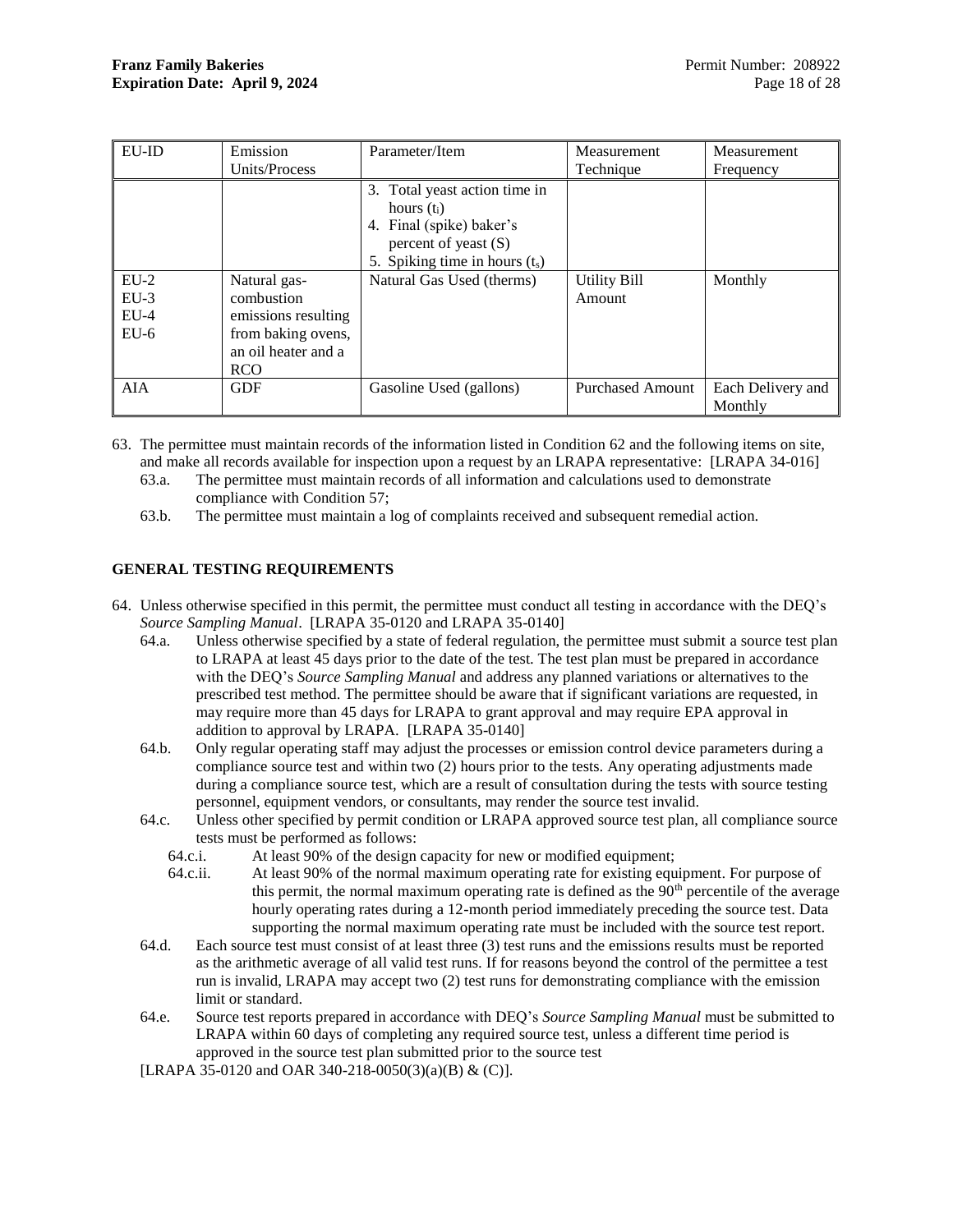| <b>EU-ID</b>     | Emission                                                                       | Parameter/Item                                                                                                                                                        | Measurement                   | Measurement                  |
|------------------|--------------------------------------------------------------------------------|-----------------------------------------------------------------------------------------------------------------------------------------------------------------------|-------------------------------|------------------------------|
|                  | Units/Process                                                                  |                                                                                                                                                                       | Technique                     | Frequency                    |
| $EU-2$<br>$EU-3$ | Natural gas-<br>combustion                                                     | 3. Total yeast action time in<br>hours $(t_i)$<br>4. Final (spike) baker's<br>percent of yeast $(S)$<br>5. Spiking time in hours $(t_s)$<br>Natural Gas Used (therms) | <b>Utility Bill</b><br>Amount | Monthly                      |
| $EU-4$<br>$EU-6$ | emissions resulting<br>from baking ovens,<br>an oil heater and a<br><b>RCO</b> |                                                                                                                                                                       |                               |                              |
| <b>AIA</b>       | <b>GDF</b>                                                                     | Gasoline Used (gallons)                                                                                                                                               | <b>Purchased Amount</b>       | Each Delivery and<br>Monthly |

63. The permittee must maintain records of the information listed in Condition [62](#page-19-2) and the following items on site, and make all records available for inspection upon a request by an LRAPA representative: [LRAPA 34-016]

- 63.a. The permittee must maintain records of all information and calculations used to demonstrate compliance with Condition [57;](#page-17-2)
- 63.b. The permittee must maintain a log of complaints received and subsequent remedial action.

### <span id="page-20-0"></span>**GENERAL TESTING REQUIREMENTS**

- 64. Unless otherwise specified in this permit, the permittee must conduct all testing in accordance with the DEQ's *Source Sampling Manual*. [LRAPA 35-0120 and LRAPA 35-0140]
	- 64.a. Unless otherwise specified by a state of federal regulation, the permittee must submit a source test plan to LRAPA at least 45 days prior to the date of the test. The test plan must be prepared in accordance with the DEQ's *Source Sampling Manual* and address any planned variations or alternatives to the prescribed test method. The permittee should be aware that if significant variations are requested, in may require more than 45 days for LRAPA to grant approval and may require EPA approval in addition to approval by LRAPA. [LRAPA 35-0140]
	- 64.b. Only regular operating staff may adjust the processes or emission control device parameters during a compliance source test and within two (2) hours prior to the tests. Any operating adjustments made during a compliance source test, which are a result of consultation during the tests with source testing personnel, equipment vendors, or consultants, may render the source test invalid.
	- 64.c. Unless other specified by permit condition or LRAPA approved source test plan, all compliance source tests must be performed as follows:
		- 64.c.i. At least 90% of the design capacity for new or modified equipment;
		- 64.c.ii. At least 90% of the normal maximum operating rate for existing equipment. For purpose of this permit, the normal maximum operating rate is defined as the  $90<sup>th</sup>$  percentile of the average hourly operating rates during a 12-month period immediately preceding the source test. Data supporting the normal maximum operating rate must be included with the source test report.
	- 64.d. Each source test must consist of at least three (3) test runs and the emissions results must be reported as the arithmetic average of all valid test runs. If for reasons beyond the control of the permittee a test run is invalid, LRAPA may accept two (2) test runs for demonstrating compliance with the emission limit or standard.
	- 64.e. Source test reports prepared in accordance with DEQ's *Source Sampling Manual* must be submitted to LRAPA within 60 days of completing any required source test, unless a different time period is approved in the source test plan submitted prior to the source test

[LRAPA 35-0120 and OAR 340-218-0050(3)(a)(B) & (C)].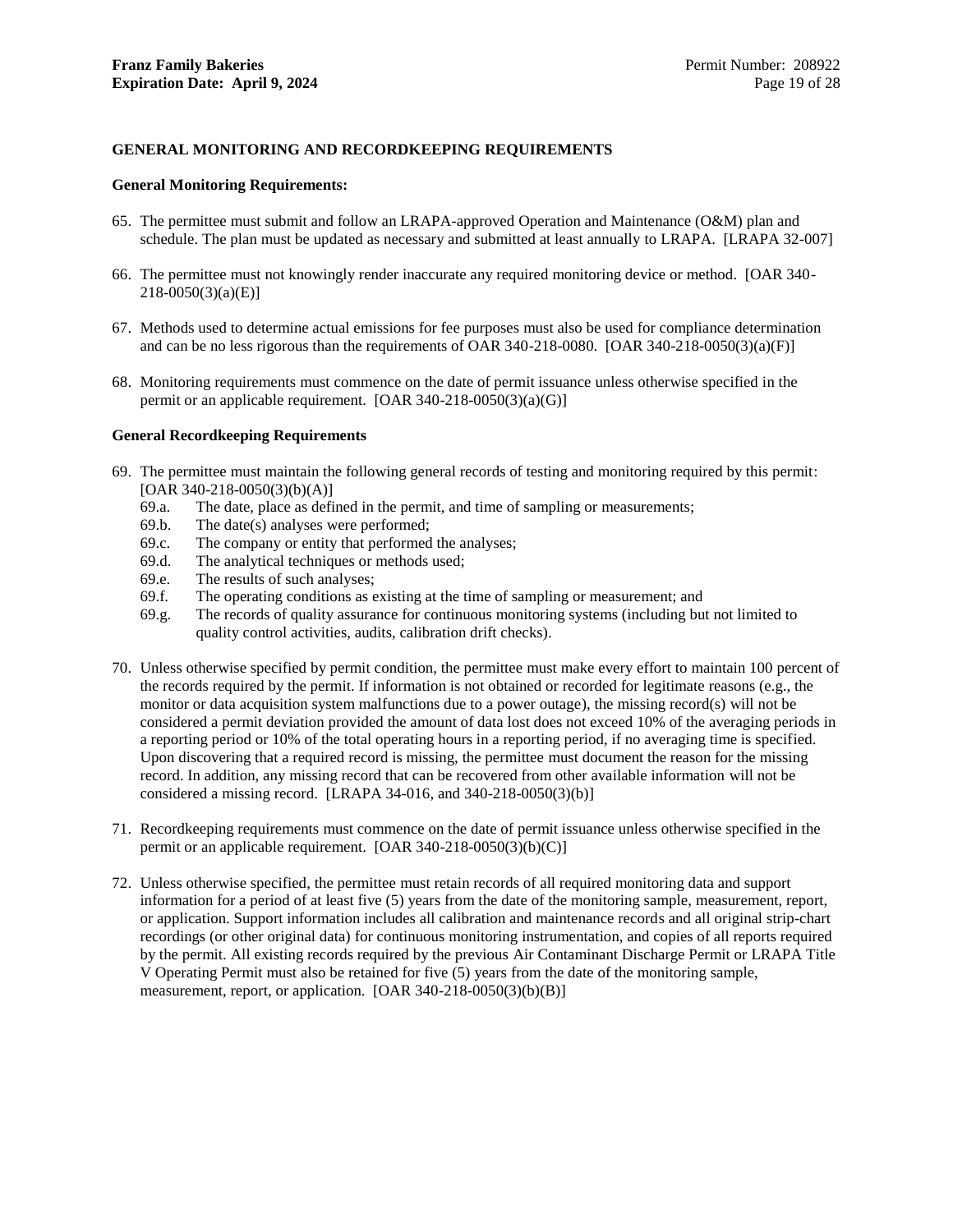### <span id="page-21-0"></span>**GENERAL MONITORING AND RECORDKEEPING REQUIREMENTS**

#### **General Monitoring Requirements:**

- 65. The permittee must submit and follow an LRAPA-approved Operation and Maintenance (O&M) plan and schedule. The plan must be updated as necessary and submitted at least annually to LRAPA. [LRAPA 32-007]
- 66. The permittee must not knowingly render inaccurate any required monitoring device or method. [OAR 340-  $218-0050(3)(a)(E)$ ]
- 67. Methods used to determine actual emissions for fee purposes must also be used for compliance determination and can be no less rigorous than the requirements of OAR 340-218-0080. [OAR 340-218-0050(3)(a)(F)]
- 68. Monitoring requirements must commence on the date of permit issuance unless otherwise specified in the permit or an applicable requirement. [OAR 340-218-0050(3)(a)(G)]

#### **General Recordkeeping Requirements**

- 69. The permittee must maintain the following general records of testing and monitoring required by this permit: [OAR 340-218-0050(3)(b)(A)]
	- 69.a. The date, place as defined in the permit, and time of sampling or measurements;
	- 69.b. The date(s) analyses were performed;
	- 69.c. The company or entity that performed the analyses;
	- 69.d. The analytical techniques or methods used;
	- 69.e. The results of such analyses;
	- 69.f. The operating conditions as existing at the time of sampling or measurement; and
	- 69.g. The records of quality assurance for continuous monitoring systems (including but not limited to quality control activities, audits, calibration drift checks).
- 70. Unless otherwise specified by permit condition, the permittee must make every effort to maintain 100 percent of the records required by the permit. If information is not obtained or recorded for legitimate reasons (e.g., the monitor or data acquisition system malfunctions due to a power outage), the missing record(s) will not be considered a permit deviation provided the amount of data lost does not exceed 10% of the averaging periods in a reporting period or 10% of the total operating hours in a reporting period, if no averaging time is specified. Upon discovering that a required record is missing, the permittee must document the reason for the missing record. In addition, any missing record that can be recovered from other available information will not be considered a missing record. [LRAPA 34-016, and 340-218-0050(3)(b)]
- 71. Recordkeeping requirements must commence on the date of permit issuance unless otherwise specified in the permit or an applicable requirement. [OAR 340-218-0050(3)(b)(C)]
- 72. Unless otherwise specified, the permittee must retain records of all required monitoring data and support information for a period of at least five (5) years from the date of the monitoring sample, measurement, report, or application. Support information includes all calibration and maintenance records and all original strip-chart recordings (or other original data) for continuous monitoring instrumentation, and copies of all reports required by the permit. All existing records required by the previous Air Contaminant Discharge Permit or LRAPA Title V Operating Permit must also be retained for five (5) years from the date of the monitoring sample, measurement, report, or application. [OAR 340-218-0050(3)(b)(B)]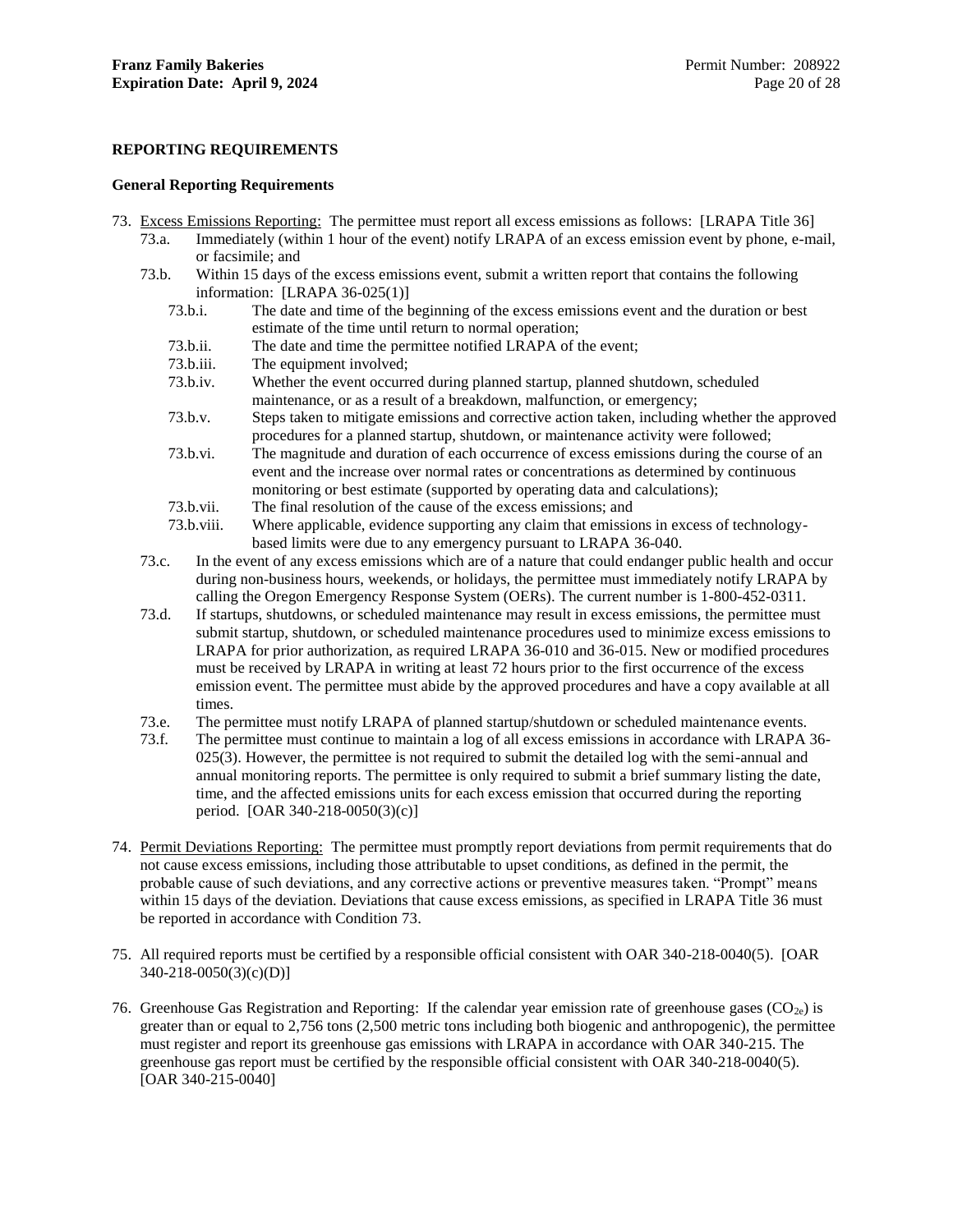### <span id="page-22-0"></span>**REPORTING REQUIREMENTS**

#### **General Reporting Requirements**

- <span id="page-22-1"></span>73. Excess Emissions Reporting: The permittee must report all excess emissions as follows: [LRAPA Title 36]
	- 73.a. Immediately (within 1 hour of the event) notify LRAPA of an excess emission event by phone, e-mail, or facsimile; and
	- 73.b. Within 15 days of the excess emissions event, submit a written report that contains the following information: [LRAPA 36-025(1)]
		- 73.b.i. The date and time of the beginning of the excess emissions event and the duration or best estimate of the time until return to normal operation;
		- 73.b.ii. The date and time the permittee notified LRAPA of the event;
		- 73.b.iii. The equipment involved;
		- 73.b.iv. Whether the event occurred during planned startup, planned shutdown, scheduled maintenance, or as a result of a breakdown, malfunction, or emergency;
		- 73.b.v. Steps taken to mitigate emissions and corrective action taken, including whether the approved procedures for a planned startup, shutdown, or maintenance activity were followed;
		- 73.b.vi. The magnitude and duration of each occurrence of excess emissions during the course of an event and the increase over normal rates or concentrations as determined by continuous monitoring or best estimate (supported by operating data and calculations);
		- 73.b.vii. The final resolution of the cause of the excess emissions; and
		- 73.b.viii. Where applicable, evidence supporting any claim that emissions in excess of technologybased limits were due to any emergency pursuant to LRAPA 36-040.
	- 73.c. In the event of any excess emissions which are of a nature that could endanger public health and occur during non-business hours, weekends, or holidays, the permittee must immediately notify LRAPA by calling the Oregon Emergency Response System (OERs). The current number is 1-800-452-0311.
	- 73.d. If startups, shutdowns, or scheduled maintenance may result in excess emissions, the permittee must submit startup, shutdown, or scheduled maintenance procedures used to minimize excess emissions to LRAPA for prior authorization, as required LRAPA 36-010 and 36-015. New or modified procedures must be received by LRAPA in writing at least 72 hours prior to the first occurrence of the excess emission event. The permittee must abide by the approved procedures and have a copy available at all times.
	- 73.e. The permittee must notify LRAPA of planned startup/shutdown or scheduled maintenance events.
	- 73.f. The permittee must continue to maintain a log of all excess emissions in accordance with LRAPA 36- 025(3). However, the permittee is not required to submit the detailed log with the semi-annual and annual monitoring reports. The permittee is only required to submit a brief summary listing the date, time, and the affected emissions units for each excess emission that occurred during the reporting period. [OAR 340-218-0050(3)(c)]
- 74. Permit Deviations Reporting: The permittee must promptly report deviations from permit requirements that do not cause excess emissions, including those attributable to upset conditions, as defined in the permit, the probable cause of such deviations, and any corrective actions or preventive measures taken. "Prompt" means within 15 days of the deviation. Deviations that cause excess emissions, as specified in LRAPA Title 36 must be reported in accordance with Condition [73.](#page-22-1)
- 75. All required reports must be certified by a responsible official consistent with OAR 340-218-0040(5). [OAR 340-218-0050(3)(c)(D)]
- 76. Greenhouse Gas Registration and Reporting: If the calendar year emission rate of greenhouse gases  $(CO_{2e})$  is greater than or equal to 2,756 tons (2,500 metric tons including both biogenic and anthropogenic), the permittee must register and report its greenhouse gas emissions with LRAPA in accordance with OAR 340-215. The greenhouse gas report must be certified by the responsible official consistent with OAR 340-218-0040(5). [OAR 340-215-0040]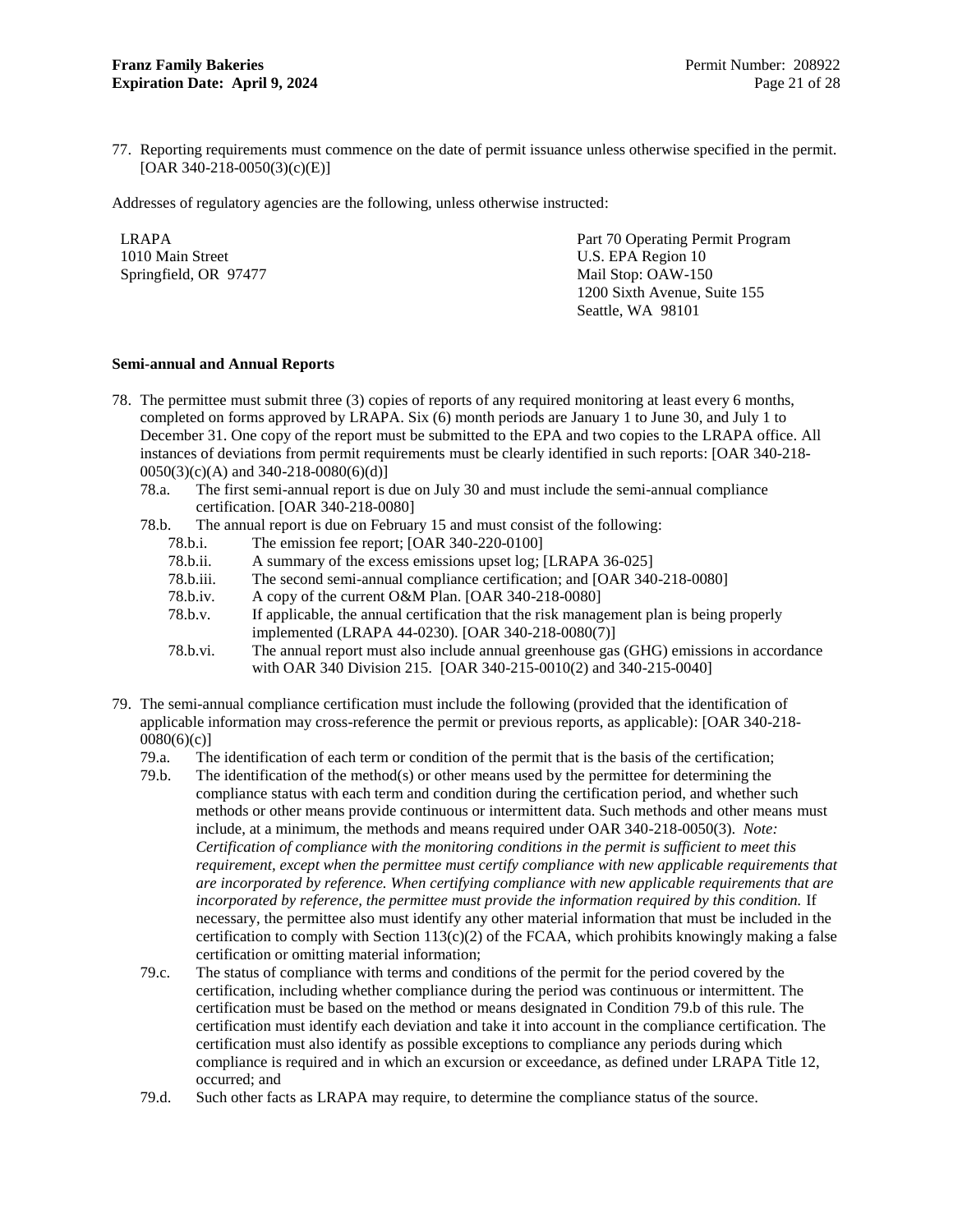77. Reporting requirements must commence on the date of permit issuance unless otherwise specified in the permit. [OAR 340-218-0050(3)(c)(E)]

Addresses of regulatory agencies are the following, unless otherwise instructed:

LRAPA 1010 Main Street Springfield, OR 97477

Part 70 Operating Permit Program U.S. EPA Region 10 Mail Stop: OAW-150 1200 Sixth Avenue, Suite 155 Seattle, WA 98101

### **Semi-annual and Annual Reports**

- <span id="page-23-0"></span>78. The permittee must submit three (3) copies of reports of any required monitoring at least every 6 months, completed on forms approved by LRAPA. Six (6) month periods are January 1 to June 30, and July 1 to December 31. One copy of the report must be submitted to the EPA and two copies to the LRAPA office. All instances of deviations from permit requirements must be clearly identified in such reports: [OAR 340-218-  $0050(3)(c)(A)$  and 340-218-0080(6)(d)]
	- 78.a. The first semi-annual report is due on July 30 and must include the semi-annual compliance certification. [OAR 340-218-0080]
	- 78.b. The annual report is due on February 15 and must consist of the following:
		- 78.b.i. The emission fee report; [OAR 340-220-0100]
		- 78.b.ii. A summary of the excess emissions upset log; [LRAPA 36-025]
		- 78.b.iii. The second semi-annual compliance certification; and [OAR 340-218-0080]
		- 78.b.iv. A copy of the current O&M Plan. [OAR 340-218-0080]
		- 78.b.v. If applicable, the annual certification that the risk management plan is being properly implemented (LRAPA 44-0230). [OAR 340-218-0080(7)]
		- 78.b.vi. The annual report must also include annual greenhouse gas (GHG) emissions in accordance with OAR 340 Division 215. [OAR 340-215-0010(2) and 340-215-0040]
- <span id="page-23-1"></span>79. The semi-annual compliance certification must include the following (provided that the identification of applicable information may cross-reference the permit or previous reports, as applicable): [OAR 340-218- 0080(6)(c)]
	- 79.a. The identification of each term or condition of the permit that is the basis of the certification;
	- 79.b. The identification of the method(s) or other means used by the permittee for determining the compliance status with each term and condition during the certification period, and whether such methods or other means provide continuous or intermittent data. Such methods and other means must include, at a minimum, the methods and means required under OAR 340-218-0050(3). *Note: Certification of compliance with the monitoring conditions in the permit is sufficient to meet this requirement, except when the permittee must certify compliance with new applicable requirements that are incorporated by reference. When certifying compliance with new applicable requirements that are incorporated by reference, the permittee must provide the information required by this condition.* If necessary, the permittee also must identify any other material information that must be included in the certification to comply with Section  $113(c)(2)$  of the FCAA, which prohibits knowingly making a false certification or omitting material information;
	- 79.c. The status of compliance with terms and conditions of the permit for the period covered by the certification, including whether compliance during the period was continuous or intermittent. The certification must be based on the method or means designated in Conditio[n 79.b](#page-23-1) of this rule. The certification must identify each deviation and take it into account in the compliance certification. The certification must also identify as possible exceptions to compliance any periods during which compliance is required and in which an excursion or exceedance, as defined under LRAPA Title 12, occurred; and
	- 79.d. Such other facts as LRAPA may require, to determine the compliance status of the source.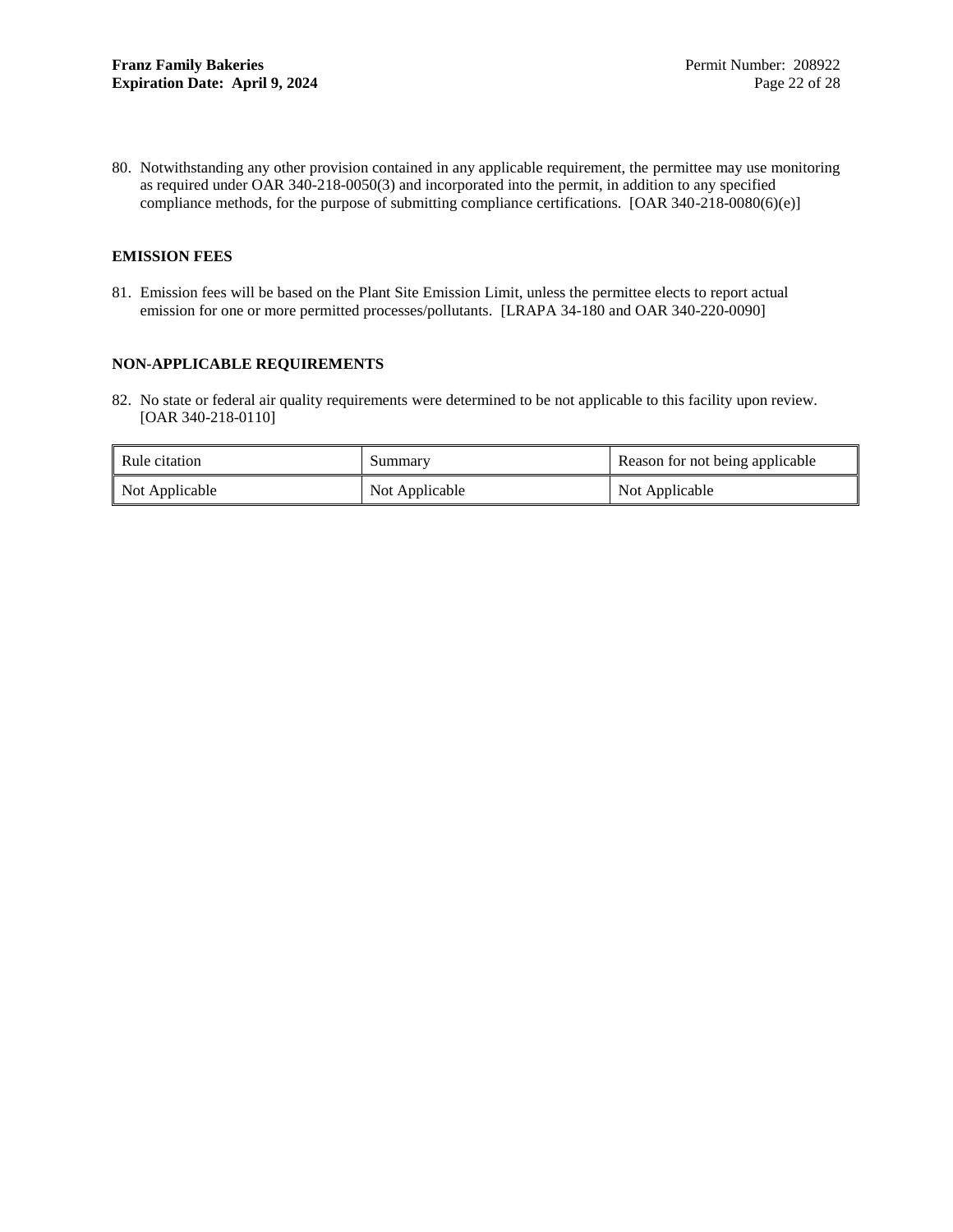80. Notwithstanding any other provision contained in any applicable requirement, the permittee may use monitoring as required under OAR 340-218-0050(3) and incorporated into the permit, in addition to any specified compliance methods, for the purpose of submitting compliance certifications. [OAR 340-218-0080(6)(e)]

### <span id="page-24-0"></span>**EMISSION FEES**

81. Emission fees will be based on the Plant Site Emission Limit, unless the permittee elects to report actual emission for one or more permitted processes/pollutants. [LRAPA 34-180 and OAR 340-220-0090]

### <span id="page-24-1"></span>**NON-APPLICABLE REQUIREMENTS**

82. No state or federal air quality requirements were determined to be not applicable to this facility upon review. [OAR 340-218-0110]

| Rule citation  | Summary        | Reason for not being applicable |
|----------------|----------------|---------------------------------|
| Not Applicable | Not Applicable | Not Applicable                  |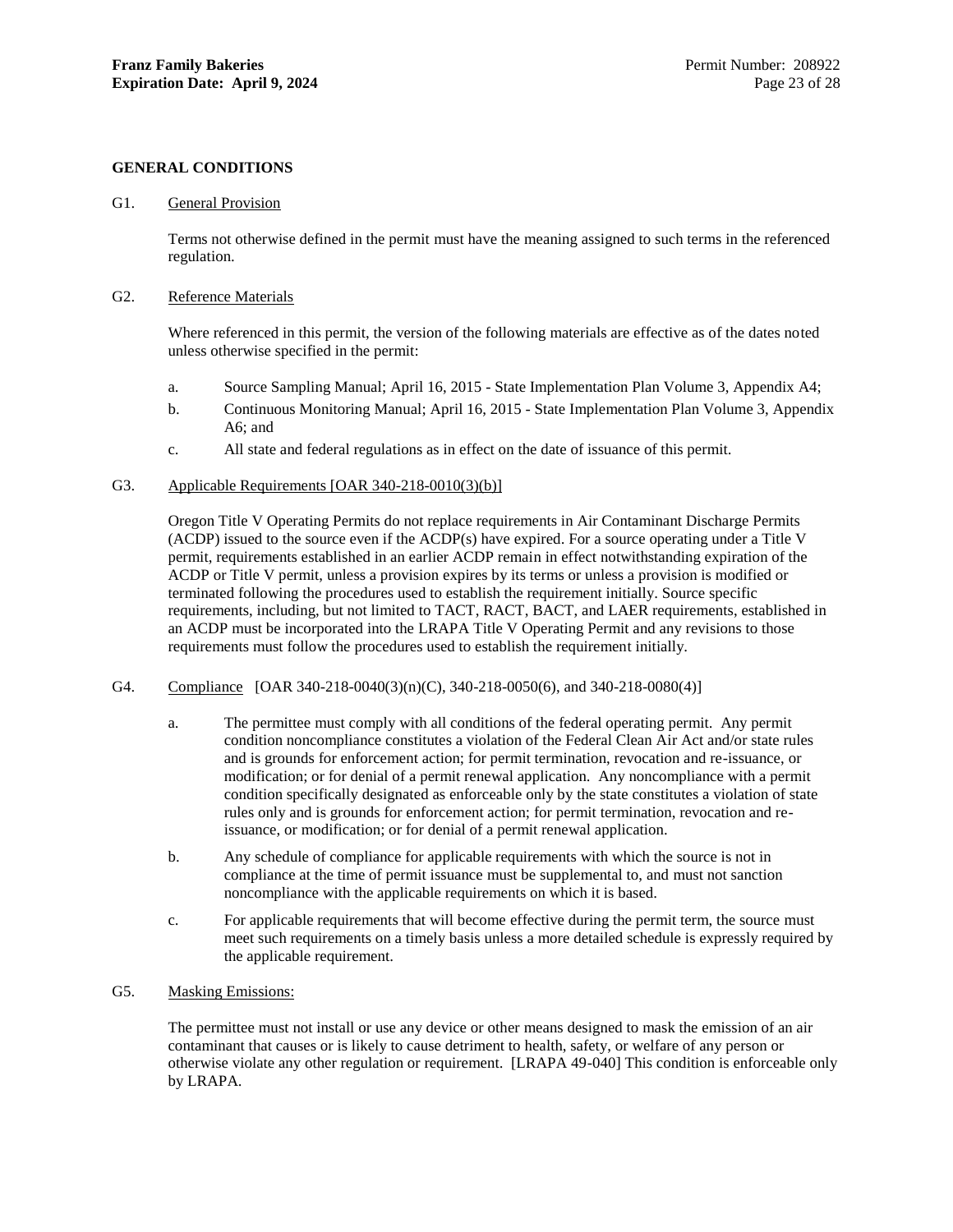#### <span id="page-25-0"></span>**GENERAL CONDITIONS**

#### G1. General Provision

Terms not otherwise defined in the permit must have the meaning assigned to such terms in the referenced regulation.

#### G2. Reference Materials

Where referenced in this permit, the version of the following materials are effective as of the dates noted unless otherwise specified in the permit:

- a. Source Sampling Manual; April 16, 2015 State Implementation Plan Volume 3, Appendix A4;
- b. Continuous Monitoring Manual; April 16, 2015 State Implementation Plan Volume 3, Appendix A6; and
- c. All state and federal regulations as in effect on the date of issuance of this permit.

### G3. Applicable Requirements [OAR 340-218-0010(3)(b)]

Oregon Title V Operating Permits do not replace requirements in Air Contaminant Discharge Permits (ACDP) issued to the source even if the ACDP(s) have expired. For a source operating under a Title V permit, requirements established in an earlier ACDP remain in effect notwithstanding expiration of the ACDP or Title V permit, unless a provision expires by its terms or unless a provision is modified or terminated following the procedures used to establish the requirement initially. Source specific requirements, including, but not limited to TACT, RACT, BACT, and LAER requirements, established in an ACDP must be incorporated into the LRAPA Title V Operating Permit and any revisions to those requirements must follow the procedures used to establish the requirement initially.

- G4. Compliance [OAR 340-218-0040(3)(n)(C), 340-218-0050(6), and 340-218-0080(4)]
	- a. The permittee must comply with all conditions of the federal operating permit. Any permit condition noncompliance constitutes a violation of the Federal Clean Air Act and/or state rules and is grounds for enforcement action; for permit termination, revocation and re-issuance, or modification; or for denial of a permit renewal application. Any noncompliance with a permit condition specifically designated as enforceable only by the state constitutes a violation of state rules only and is grounds for enforcement action; for permit termination, revocation and reissuance, or modification; or for denial of a permit renewal application.
	- b. Any schedule of compliance for applicable requirements with which the source is not in compliance at the time of permit issuance must be supplemental to, and must not sanction noncompliance with the applicable requirements on which it is based.
	- c. For applicable requirements that will become effective during the permit term, the source must meet such requirements on a timely basis unless a more detailed schedule is expressly required by the applicable requirement.

### G5. Masking Emissions:

The permittee must not install or use any device or other means designed to mask the emission of an air contaminant that causes or is likely to cause detriment to health, safety, or welfare of any person or otherwise violate any other regulation or requirement. [LRAPA 49-040] This condition is enforceable only by LRAPA.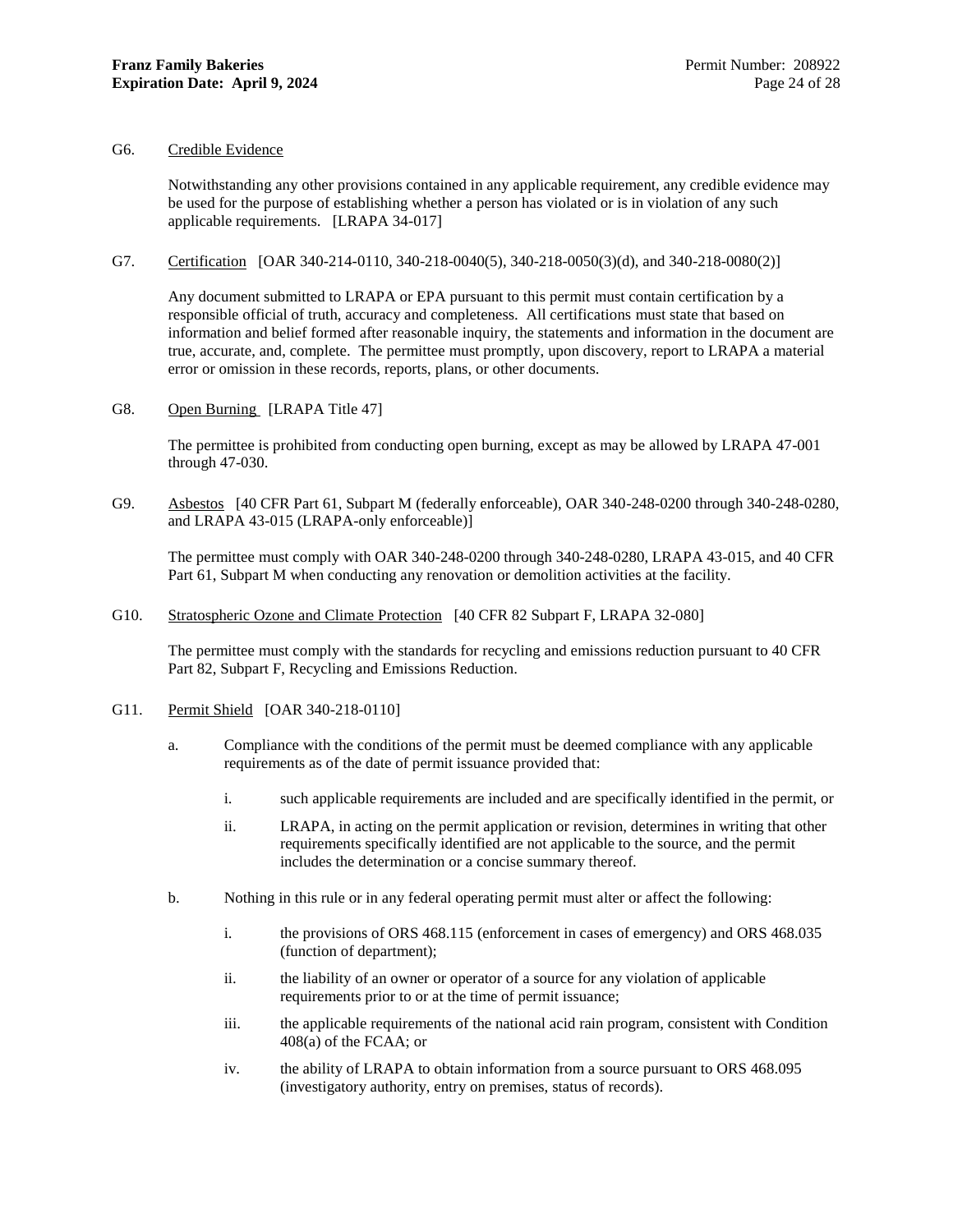### G6. Credible Evidence

Notwithstanding any other provisions contained in any applicable requirement, any credible evidence may be used for the purpose of establishing whether a person has violated or is in violation of any such applicable requirements. [LRAPA 34-017]

### G7. Certification [OAR 340-214-0110, 340-218-0040(5), 340-218-0050(3)(d), and 340-218-0080(2)]

Any document submitted to LRAPA or EPA pursuant to this permit must contain certification by a responsible official of truth, accuracy and completeness. All certifications must state that based on information and belief formed after reasonable inquiry, the statements and information in the document are true, accurate, and, complete. The permittee must promptly, upon discovery, report to LRAPA a material error or omission in these records, reports, plans, or other documents.

G8. Open Burning [LRAPA Title 47]

The permittee is prohibited from conducting open burning, except as may be allowed by LRAPA 47-001 through 47-030.

G9. Asbestos [40 CFR Part 61, Subpart M (federally enforceable), OAR 340-248-0200 through 340-248-0280, and LRAPA 43-015 (LRAPA-only enforceable)]

The permittee must comply with OAR 340-248-0200 through 340-248-0280, LRAPA 43-015, and 40 CFR Part 61, Subpart M when conducting any renovation or demolition activities at the facility.

G10. Stratospheric Ozone and Climate Protection [40 CFR 82 Subpart F, LRAPA 32-080]

The permittee must comply with the standards for recycling and emissions reduction pursuant to 40 CFR Part 82, Subpart F, Recycling and Emissions Reduction.

- G11. Permit Shield [OAR 340-218-0110]
	- a. Compliance with the conditions of the permit must be deemed compliance with any applicable requirements as of the date of permit issuance provided that:
		- i. such applicable requirements are included and are specifically identified in the permit, or
		- ii. LRAPA, in acting on the permit application or revision, determines in writing that other requirements specifically identified are not applicable to the source, and the permit includes the determination or a concise summary thereof.
	- b. Nothing in this rule or in any federal operating permit must alter or affect the following:
		- i. the provisions of ORS 468.115 (enforcement in cases of emergency) and ORS 468.035 (function of department);
		- ii. the liability of an owner or operator of a source for any violation of applicable requirements prior to or at the time of permit issuance;
		- iii. the applicable requirements of the national acid rain program, consistent with Condition 408(a) of the FCAA; or
		- iv. the ability of LRAPA to obtain information from a source pursuant to ORS 468.095 (investigatory authority, entry on premises, status of records).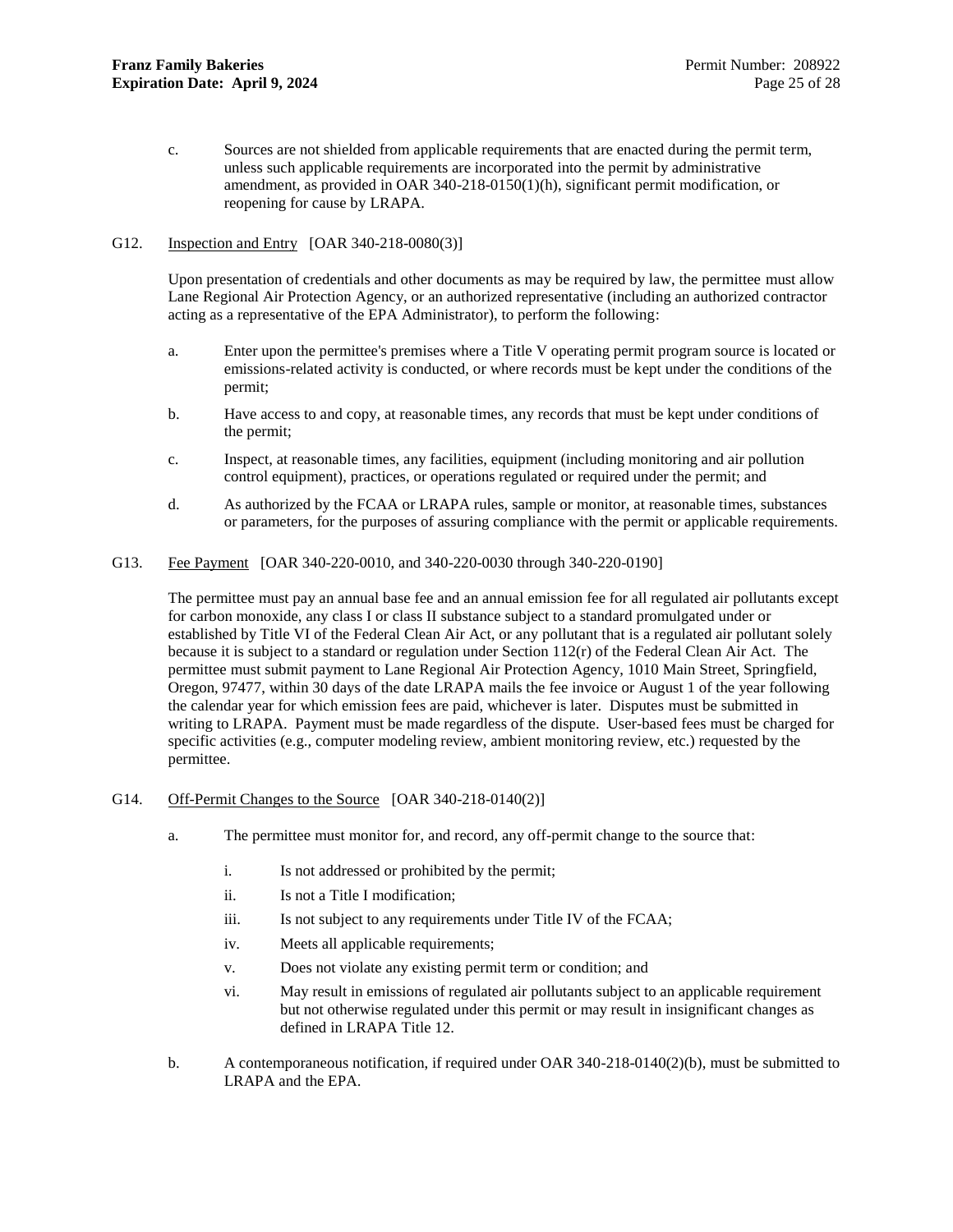c. Sources are not shielded from applicable requirements that are enacted during the permit term, unless such applicable requirements are incorporated into the permit by administrative amendment, as provided in OAR 340-218-0150(1)(h), significant permit modification, or reopening for cause by LRAPA.

### G12. Inspection and Entry [OAR 340-218-0080(3)]

Upon presentation of credentials and other documents as may be required by law, the permittee must allow Lane Regional Air Protection Agency, or an authorized representative (including an authorized contractor acting as a representative of the EPA Administrator), to perform the following:

- a. Enter upon the permittee's premises where a Title V operating permit program source is located or emissions-related activity is conducted, or where records must be kept under the conditions of the permit;
- b. Have access to and copy, at reasonable times, any records that must be kept under conditions of the permit;
- c. Inspect, at reasonable times, any facilities, equipment (including monitoring and air pollution control equipment), practices, or operations regulated or required under the permit; and
- d. As authorized by the FCAA or LRAPA rules, sample or monitor, at reasonable times, substances or parameters, for the purposes of assuring compliance with the permit or applicable requirements.
- G13. Fee Payment [OAR 340-220-0010, and 340-220-0030 through 340-220-0190]

The permittee must pay an annual base fee and an annual emission fee for all regulated air pollutants except for carbon monoxide, any class I or class II substance subject to a standard promulgated under or established by Title VI of the Federal Clean Air Act, or any pollutant that is a regulated air pollutant solely because it is subject to a standard or regulation under Section  $112(r)$  of the Federal Clean Air Act. The permittee must submit payment to Lane Regional Air Protection Agency, 1010 Main Street, Springfield, Oregon, 97477, within 30 days of the date LRAPA mails the fee invoice or August 1 of the year following the calendar year for which emission fees are paid, whichever is later. Disputes must be submitted in writing to LRAPA. Payment must be made regardless of the dispute. User-based fees must be charged for specific activities (e.g., computer modeling review, ambient monitoring review, etc.) requested by the permittee.

- G14. Off-Permit Changes to the Source [OAR 340-218-0140(2)]
	- a. The permittee must monitor for, and record, any off-permit change to the source that:
		- i. Is not addressed or prohibited by the permit;
		- ii. Is not a Title I modification;
		- iii. Is not subject to any requirements under Title IV of the FCAA;
		- iv. Meets all applicable requirements;
		- v. Does not violate any existing permit term or condition; and
		- vi. May result in emissions of regulated air pollutants subject to an applicable requirement but not otherwise regulated under this permit or may result in insignificant changes as defined in LRAPA Title 12.
	- b. A contemporaneous notification, if required under OAR 340-218-0140(2)(b), must be submitted to LRAPA and the EPA.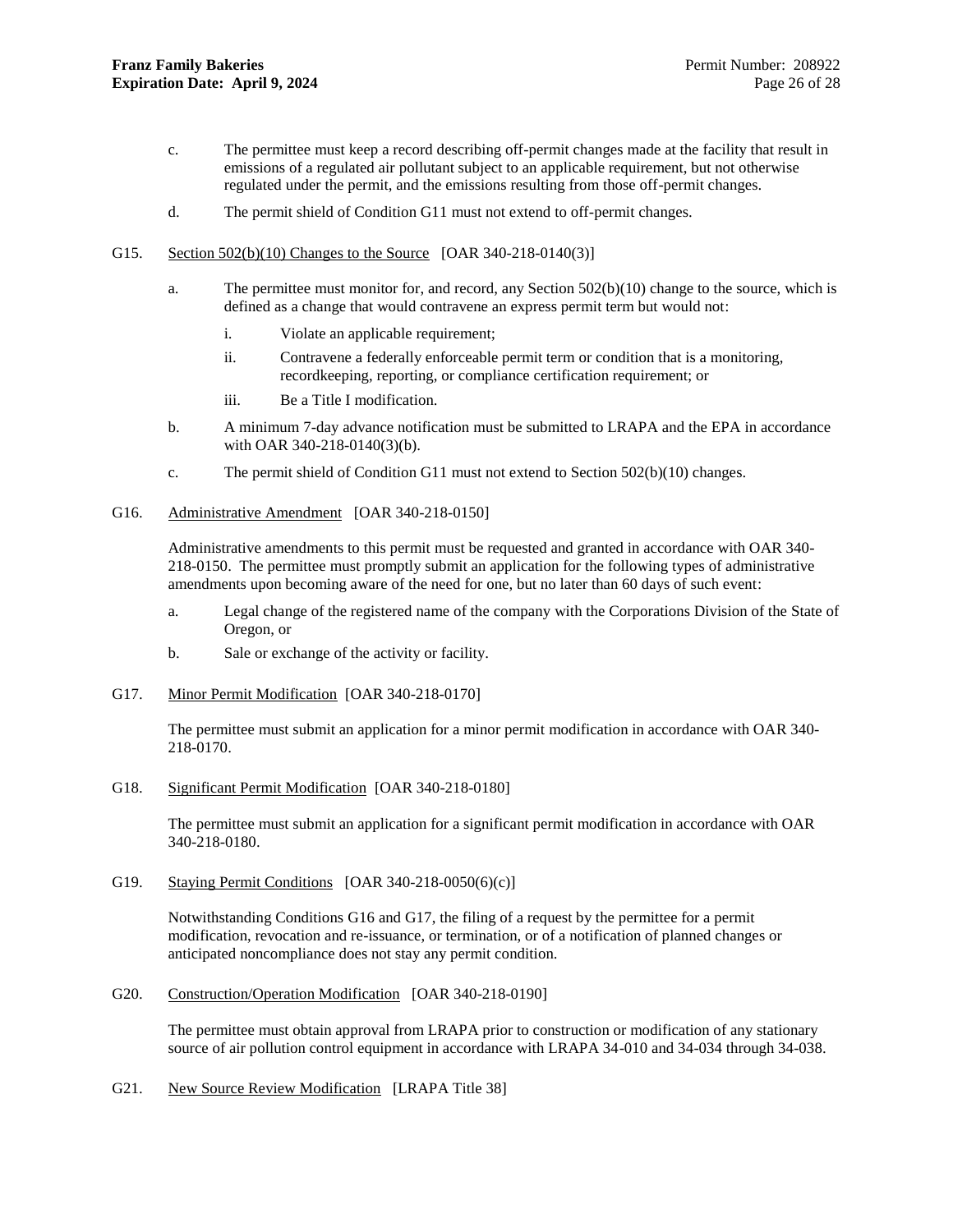- c. The permittee must keep a record describing off-permit changes made at the facility that result in emissions of a regulated air pollutant subject to an applicable requirement, but not otherwise regulated under the permit, and the emissions resulting from those off-permit changes.
- d. The permit shield of Condition G11 must not extend to off-permit changes.
- G15. Section 502(b)(10) Changes to the Source [OAR 340-218-0140(3)]
	- a. The permittee must monitor for, and record, any Section 502(b)(10) change to the source, which is defined as a change that would contravene an express permit term but would not:
		- i. Violate an applicable requirement;
		- ii. Contravene a federally enforceable permit term or condition that is a monitoring, recordkeeping, reporting, or compliance certification requirement; or
		- iii. Be a Title I modification.
	- b. A minimum 7-day advance notification must be submitted to LRAPA and the EPA in accordance with OAR 340-218-0140(3)(b).
	- c. The permit shield of Condition G11 must not extend to Section 502(b)(10) changes.
- <span id="page-28-0"></span>G16. Administrative Amendment [OAR 340-218-0150]

Administrative amendments to this permit must be requested and granted in accordance with OAR 340- 218-0150. The permittee must promptly submit an application for the following types of administrative amendments upon becoming aware of the need for one, but no later than 60 days of such event:

- a. Legal change of the registered name of the company with the Corporations Division of the State of Oregon, or
- b. Sale or exchange of the activity or facility.
- <span id="page-28-1"></span>G17. Minor Permit Modification [OAR 340-218-0170]

The permittee must submit an application for a minor permit modification in accordance with OAR 340- 218-0170.

G18. Significant Permit Modification [OAR 340-218-0180]

The permittee must submit an application for a significant permit modification in accordance with OAR 340-218-0180.

G19. Staying Permit Conditions [OAR 340-218-0050(6)(c)]

Notwithstanding Conditions [G16](#page-28-0) and [G17,](#page-28-1) the filing of a request by the permittee for a permit modification, revocation and re-issuance, or termination, or of a notification of planned changes or anticipated noncompliance does not stay any permit condition.

G20. Construction/Operation Modification [OAR 340-218-0190]

The permittee must obtain approval from LRAPA prior to construction or modification of any stationary source of air pollution control equipment in accordance with LRAPA 34-010 and 34-034 through 34-038.

G21. New Source Review Modification [LRAPA Title 38]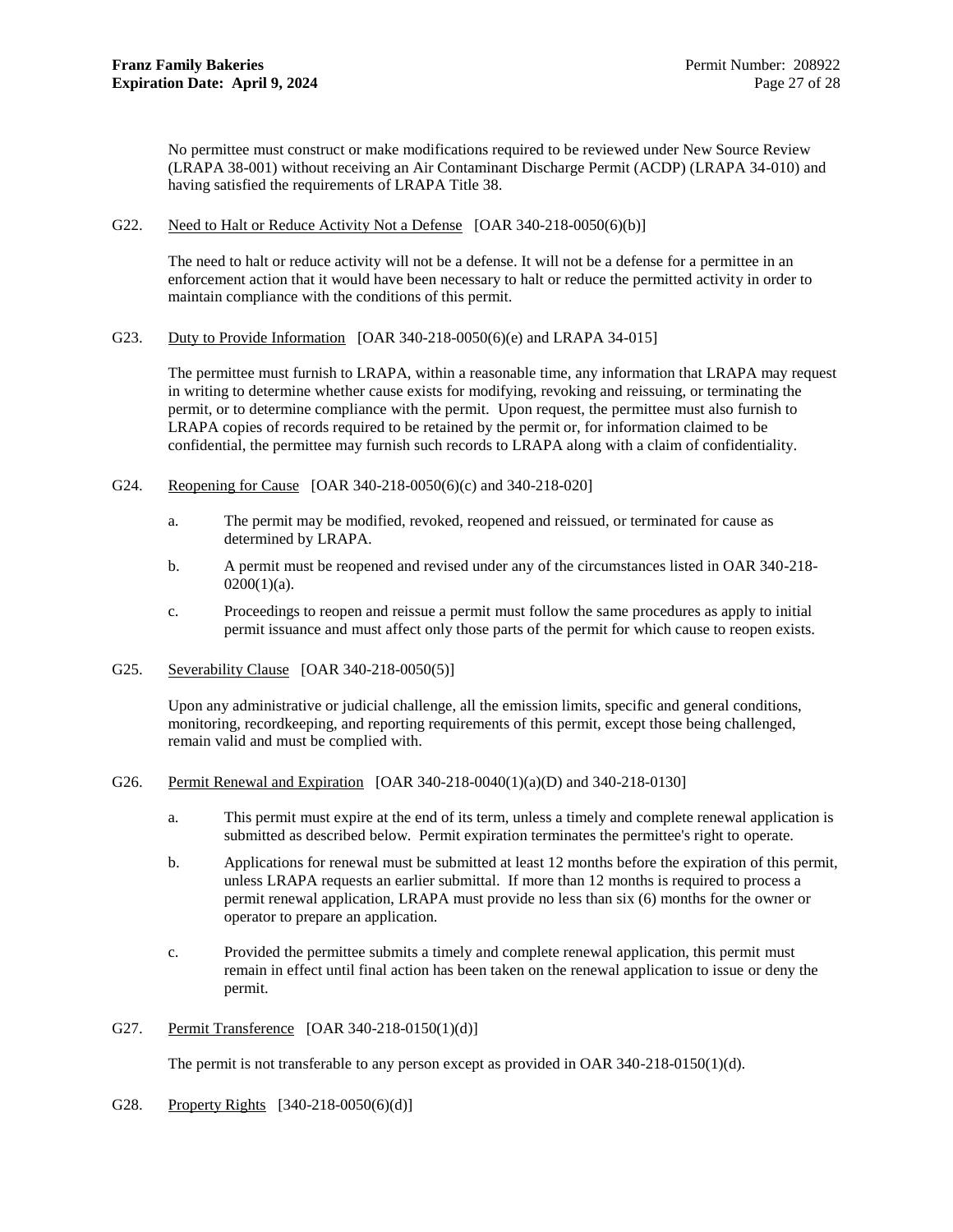No permittee must construct or make modifications required to be reviewed under New Source Review (LRAPA 38-001) without receiving an Air Contaminant Discharge Permit (ACDP) (LRAPA 34-010) and having satisfied the requirements of LRAPA Title 38.

### G22. Need to Halt or Reduce Activity Not a Defense [OAR 340-218-0050(6)(b)]

The need to halt or reduce activity will not be a defense. It will not be a defense for a permittee in an enforcement action that it would have been necessary to halt or reduce the permitted activity in order to maintain compliance with the conditions of this permit.

### G23. Duty to Provide Information [OAR 340-218-0050(6)(e) and LRAPA 34-015]

The permittee must furnish to LRAPA, within a reasonable time, any information that LRAPA may request in writing to determine whether cause exists for modifying, revoking and reissuing, or terminating the permit, or to determine compliance with the permit. Upon request, the permittee must also furnish to LRAPA copies of records required to be retained by the permit or, for information claimed to be confidential, the permittee may furnish such records to LRAPA along with a claim of confidentiality.

- G24. Reopening for Cause [OAR 340-218-0050(6)(c) and 340-218-020]
	- a. The permit may be modified, revoked, reopened and reissued, or terminated for cause as determined by LRAPA.
	- b. A permit must be reopened and revised under any of the circumstances listed in OAR 340-218-  $0200(1)(a)$ .
	- c. Proceedings to reopen and reissue a permit must follow the same procedures as apply to initial permit issuance and must affect only those parts of the permit for which cause to reopen exists.
- G25. Severability Clause [OAR 340-218-0050(5)]

Upon any administrative or judicial challenge, all the emission limits, specific and general conditions, monitoring, recordkeeping, and reporting requirements of this permit, except those being challenged, remain valid and must be complied with.

### G26. Permit Renewal and Expiration [OAR 340-218-0040(1)(a)(D) and 340-218-0130]

- a. This permit must expire at the end of its term, unless a timely and complete renewal application is submitted as described below. Permit expiration terminates the permittee's right to operate.
- b. Applications for renewal must be submitted at least 12 months before the expiration of this permit, unless LRAPA requests an earlier submittal. If more than 12 months is required to process a permit renewal application, LRAPA must provide no less than six (6) months for the owner or operator to prepare an application.
- c. Provided the permittee submits a timely and complete renewal application, this permit must remain in effect until final action has been taken on the renewal application to issue or deny the permit.
- G27. Permit Transference [OAR 340-218-0150(1)(d)]

The permit is not transferable to any person except as provided in OAR 340-218-0150(1)(d).

G28. Property Rights [340-218-0050(6)(d)]